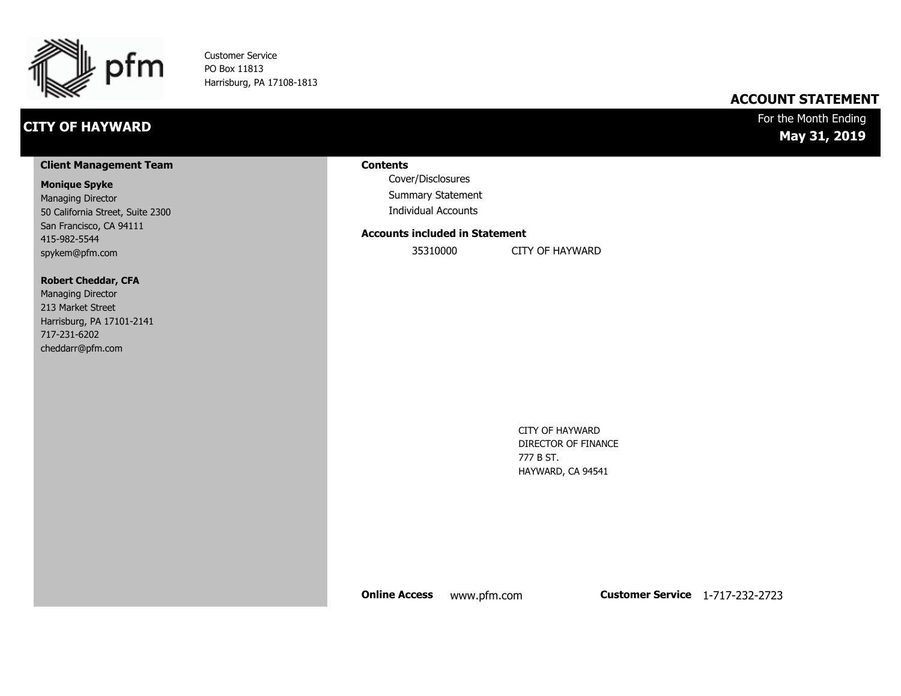

Customer Service PO Box 11813 Harrisburg, PA 17108-1813

### **CITY OF HAYWARD**

#### **ACCOUNT STATEMENT**

#### For the Month Ending **May 31, 2019**

#### **Client Management Team**

#### **Monique Spyke**

Managing Director 50 California Street, Suite 2300 San Francisco, CA 94111 415-982-5544 spykem@pfm.com

#### **Robert Cheddar, CFA**

| <b>Managing Director</b>  |
|---------------------------|
| 213 Market Street         |
| Harrisburg, PA 17101-2141 |
| 717-231-6202              |
| cheddarr@pfm.com          |

#### **Contents**

Cover/Disclosures Summary Statement Individual Accounts

#### **Accounts included in Statement**

35310000 CITY OF HAYWARD

CITY OF HAYWARD DIRECTOR OF FINANCE 777 B ST. HAYWARD, CA 94541

**Online Access** www.pfm.com **Customer Service** 1-717-232-2723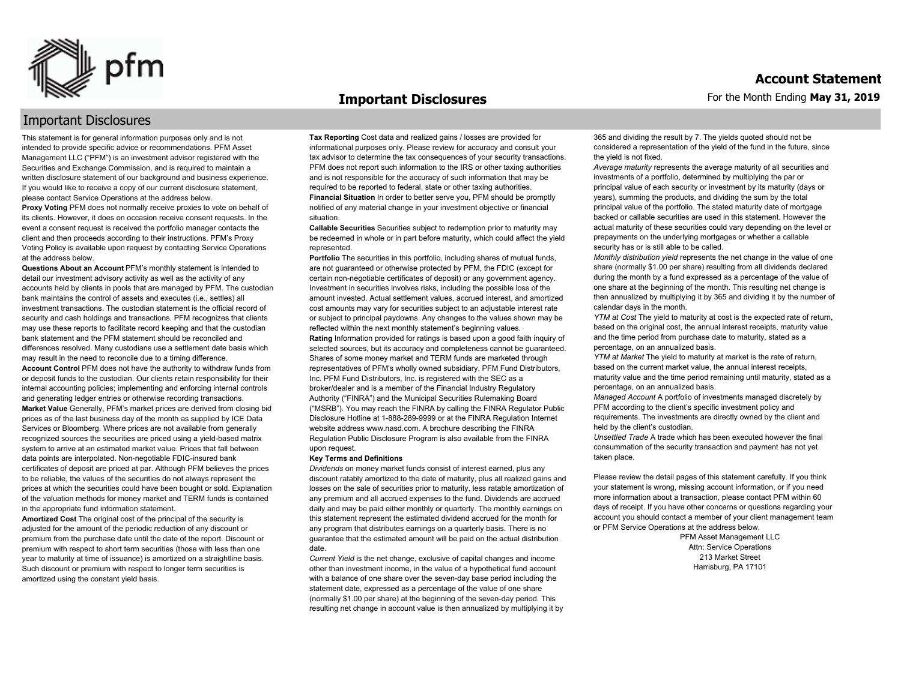

#### **Important Disclosures**

#### For the Month Ending **May 31, 2019**

#### Important Disclosures

This statement is for general information purposes only and is not intended to provide specific advice or recommendations. PFM Asset Management LLC ("PFM") is an investment advisor registered with the Securities and Exchange Commission, and is required to maintain a written disclosure statement of our background and business experience. If you would like to receive a copy of our current disclosure statement, please contact Service Operations at the address below.

**Proxy Voting** PFM does not normally receive proxies to vote on behalf of its clients. However, it does on occasion receive consent requests. In the event a consent request is received the portfolio manager contacts the client and then proceeds according to their instructions. PFM's Proxy Voting Policy is available upon request by contacting Service Operations at the address below.

**Questions About an Account** PFM's monthly statement is intended to detail our investment advisory activity as well as the activity of any accounts held by clients in pools that are managed by PFM. The custodian bank maintains the control of assets and executes (i.e., settles) all investment transactions. The custodian statement is the official record of security and cash holdings and transactions. PFM recognizes that clients may use these reports to facilitate record keeping and that the custodian bank statement and the PFM statement should be reconciled and differences resolved. Many custodians use a settlement date basis which may result in the need to reconcile due to a timing difference. **Account Control** PFM does not have the authority to withdraw funds from or deposit funds to the custodian. Our clients retain responsibility for their internal accounting policies; implementing and enforcing internal controls and generating ledger entries or otherwise recording transactions. **Market Value** Generally, PFM's market prices are derived from closing bid prices as of the last business day of the month as supplied by ICE Data Services or Bloomberg. Where prices are not available from generally recognized sources the securities are priced using a yield-based matrix system to arrive at an estimated market value. Prices that fall between data points are interpolated. Non-negotiable FDIC-insured bank certificates of deposit are priced at par. Although PFM believes the prices to be reliable, the values of the securities do not always represent the prices at which the securities could have been bought or sold. Explanation of the valuation methods for money market and TERM funds is contained in the appropriate fund information statement.

**Amortized Cost** The original cost of the principal of the security is adjusted for the amount of the periodic reduction of any discount or premium from the purchase date until the date of the report. Discount or premium with respect to short term securities (those with less than one year to maturity at time of issuance) is amortized on a straightline basis. Such discount or premium with respect to longer term securities is amortized using the constant yield basis.

**Tax Reporting** Cost data and realized gains / losses are provided for informational purposes only. Please review for accuracy and consult your tax advisor to determine the tax consequences of your security transactions. PFM does not report such information to the IRS or other taxing authorities and is not responsible for the accuracy of such information that may be required to be reported to federal, state or other taxing authorities. **Financial Situation** In order to better serve you, PFM should be promptly notified of any material change in your investment objective or financial situation.

**Callable Securities** Securities subject to redemption prior to maturity may be redeemed in whole or in part before maturity, which could affect the yield represented.

Portfolio The securities in this portfolio, including shares of mutual funds, are not guaranteed or otherwise protected by PFM, the FDIC (except for certain non-negotiable certificates of deposit) or any government agency. Investment in securities involves risks, including the possible loss of the amount invested. Actual settlement values, accrued interest, and amortized cost amounts may vary for securities subject to an adjustable interest rate or subject to principal paydowns. Any changes to the values shown may be reflected within the next monthly statement's beginning values. **Rating** Information provided for ratings is based upon a good faith inquiry of selected sources, but its accuracy and completeness cannot be guaranteed. Shares of some money market and TERM funds are marketed through representatives of PFM's wholly owned subsidiary, PFM Fund Distributors, Inc. PFM Fund Distributors, Inc. is registered with the SEC as a broker/dealer and is a member of the Financial Industry Regulatory Authority ("FINRA") and the Municipal Securities Rulemaking Board ("MSRB"). You may reach the FINRA by calling the FINRA Regulator Public Disclosure Hotline at 1-888-289-9999 or at the FINRA Regulation Internet website address www.nasd.com. A brochure describing the FINRA Regulation Public Disclosure Program is also available from the FINRA upon request.

#### **Key Terms and Definitions**

*Dividends* on money market funds consist of interest earned, plus any discount ratably amortized to the date of maturity, plus all realized gains and losses on the sale of securities prior to maturity, less ratable amortization of any premium and all accrued expenses to the fund. Dividends are accrued daily and may be paid either monthly or quarterly. The monthly earnings on this statement represent the estimated dividend accrued for the month for any program that distributes earnings on a quarterly basis. There is no guarantee that the estimated amount will be paid on the actual distribution date.

*Current Yield* is the net change, exclusive of capital changes and income other than investment income, in the value of a hypothetical fund account with a balance of one share over the seven-day base period including the statement date, expressed as a percentage of the value of one share (normally \$1.00 per share) at the beginning of the seven-day period. This resulting net change in account value is then annualized by multiplying it by 365 and dividing the result by 7. The yields quoted should not be considered a representation of the yield of the fund in the future, since the yield is not fixed.

*Average maturity* represents the average maturity of all securities and investments of a portfolio, determined by multiplying the par or principal value of each security or investment by its maturity (days or years), summing the products, and dividing the sum by the total principal value of the portfolio. The stated maturity date of mortgage backed or callable securities are used in this statement. However the actual maturity of these securities could vary depending on the level or prepayments on the underlying mortgages or whether a callable security has or is still able to be called.

*Monthly distribution yield* represents the net change in the value of one share (normally \$1.00 per share) resulting from all dividends declared during the month by a fund expressed as a percentage of the value of one share at the beginning of the month. This resulting net change is then annualized by multiplying it by 365 and dividing it by the number of calendar days in the month.

*YTM at Cost* The yield to maturity at cost is the expected rate of return, based on the original cost, the annual interest receipts, maturity value and the time period from purchase date to maturity, stated as a percentage, on an annualized basis.

*YTM at Market* The yield to maturity at market is the rate of return, based on the current market value, the annual interest receipts, maturity value and the time period remaining until maturity, stated as a percentage, on an annualized basis.

*Managed Account* A portfolio of investments managed discretely by PFM according to the client's specific investment policy and requirements. The investments are directly owned by the client and held by the client's custodian.

*Unsettled Trade* A trade which has been executed however the final consummation of the security transaction and payment has not yet taken place.

Please review the detail pages of this statement carefully. If you think your statement is wrong, missing account information, or if you need more information about a transaction, please contact PFM within 60 days of receipt. If you have other concerns or questions regarding your account you should contact a member of your client management team or PFM Service Operations at the address below.

> PFM Asset Management LLC Attn: Service Operations 213 Market Street Harrisburg, PA 17101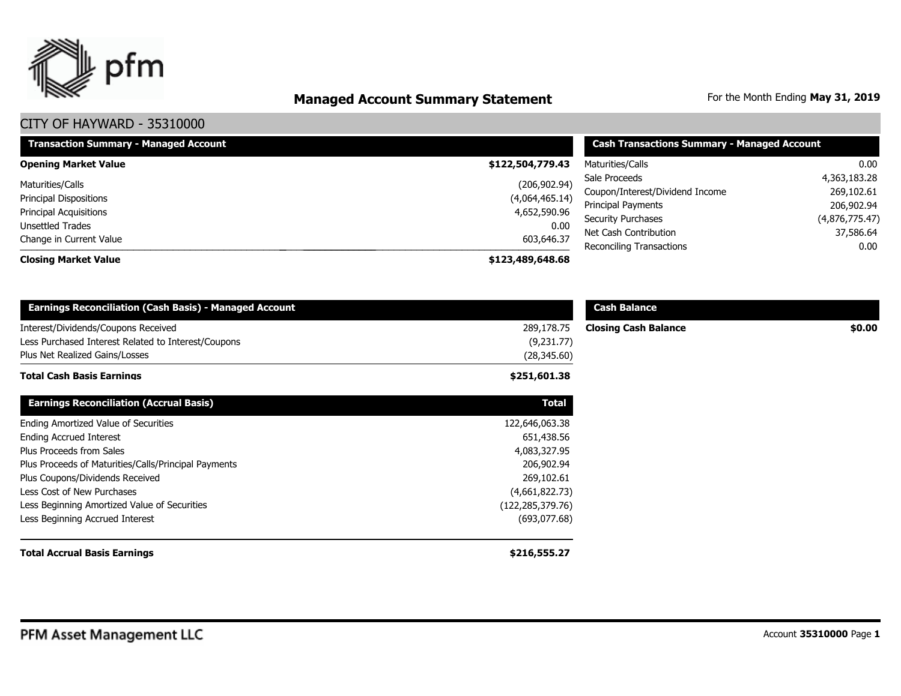

# **Managed Account Summary Statement** For the Month Ending May 31, 2019

| <b>Transaction Summary - Managed Account</b> | <b>Cash Transactions Summary - Managed Account</b> |                                 |                |  |
|----------------------------------------------|----------------------------------------------------|---------------------------------|----------------|--|
| <b>Opening Market Value</b>                  | \$122,504,779.43                                   | Maturities/Calls                | 0.00           |  |
| Maturities/Calls                             | (206, 902.94)                                      | Sale Proceeds                   | 4,363,183.28   |  |
| Principal Dispositions                       | (4,064,465.14)                                     | Coupon/Interest/Dividend Income | 269,102.61     |  |
| <b>Principal Acquisitions</b>                | 4,652,590.96                                       | Principal Payments              | 206,902.94     |  |
|                                              |                                                    | <b>Security Purchases</b>       | (4,876,775.47) |  |
| Unsettled Trades                             | 0.00                                               | Net Cash Contribution           | 37,586.64      |  |
| Change in Current Value                      | 603,646.37                                         | Reconciling Transactions        | 0.00           |  |
| <b>Closing Market Value</b>                  | \$123,489,648.68                                   |                                 |                |  |

| <b>Earnings Reconciliation (Cash Basis) - Managed Account</b>                              |                          | <b>Cash Balance</b>         |        |
|--------------------------------------------------------------------------------------------|--------------------------|-----------------------------|--------|
| Interest/Dividends/Coupons Received<br>Less Purchased Interest Related to Interest/Coupons | 289,178.75<br>(9,231.77) | <b>Closing Cash Balance</b> | \$0.00 |
| Plus Net Realized Gains/Losses                                                             | (28, 345.60)             |                             |        |
| <b>Total Cash Basis Earnings</b>                                                           | \$251,601.38             |                             |        |
| <b>Earnings Reconciliation (Accrual Basis)</b>                                             | <b>Total</b>             |                             |        |
| Ending Amortized Value of Securities                                                       | 122,646,063.38           |                             |        |
| <b>Ending Accrued Interest</b>                                                             | 651,438.56               |                             |        |
| Plus Proceeds from Sales                                                                   | 4,083,327.95             |                             |        |
| Plus Proceeds of Maturities/Calls/Principal Payments                                       | 206,902.94               |                             |        |
| Plus Coupons/Dividends Received                                                            | 269,102.61               |                             |        |
| Less Cost of New Purchases                                                                 | (4,661,822.73)           |                             |        |
| Less Beginning Amortized Value of Securities                                               | (122, 285, 379.76)       |                             |        |
| Less Beginning Accrued Interest                                                            | (693,077.68)             |                             |        |
| <b>Total Accrual Basis Earnings</b>                                                        | \$216,555.27             |                             |        |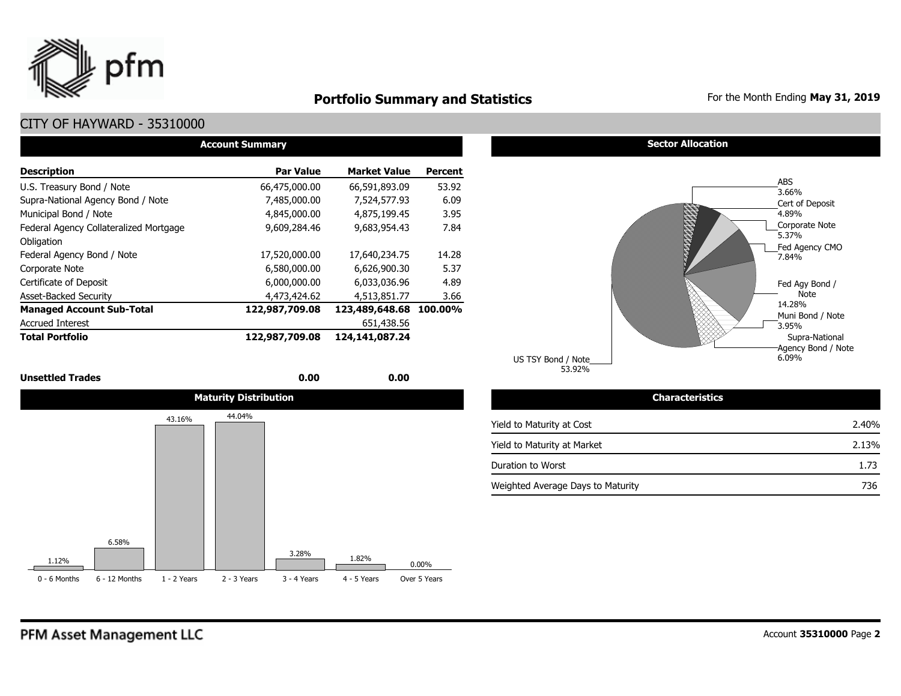

### **Portfolio Summary and Statistics** For the Month Ending May 31, 2019

### CITY OF HAYWARD - 35310000

| <b>Account Summary</b>                 |                  |                        |                |  |  |  |  |  |  |  |
|----------------------------------------|------------------|------------------------|----------------|--|--|--|--|--|--|--|
| <b>Description</b>                     | <b>Par Value</b> | <b>Market Value</b>    | <b>Percent</b> |  |  |  |  |  |  |  |
| U.S. Treasury Bond / Note              | 66,475,000,00    | 66,591,893.09          | 53.92          |  |  |  |  |  |  |  |
| Supra-National Agency Bond / Note      | 7,485,000.00     | 7,524,577.93           | 6.09           |  |  |  |  |  |  |  |
| Municipal Bond / Note                  | 4,845,000.00     | 4,875,199.45           | 3.95           |  |  |  |  |  |  |  |
| Federal Agency Collateralized Mortgage | 9,609,284.46     | 9,683,954.43           | 7.84           |  |  |  |  |  |  |  |
| Obligation                             |                  |                        |                |  |  |  |  |  |  |  |
| Federal Agency Bond / Note             | 17,520,000.00    | 17,640,234.75          | 14.28          |  |  |  |  |  |  |  |
| Corporate Note                         | 6,580,000.00     | 6,626,900.30           | 5.37           |  |  |  |  |  |  |  |
| Certificate of Deposit                 | 6,000,000.00     | 6,033,036.96           | 4.89           |  |  |  |  |  |  |  |
| <b>Asset-Backed Security</b>           | 4,473,424.62     | 4,513,851.77           | 3.66           |  |  |  |  |  |  |  |
| <b>Managed Account Sub-Total</b>       | 122,987,709.08   | 123,489,648.68 100.00% |                |  |  |  |  |  |  |  |
| <b>Accrued Interest</b>                |                  | 651,438.56             |                |  |  |  |  |  |  |  |
| <b>Total Portfolio</b>                 | 122,987,709.08   | 124,141,087.24         |                |  |  |  |  |  |  |  |

#### **Unsettled Trades** 0.00 **0.00** 0.00 **0.00**



#### **Sector Allocation**



| Characteristics                   |       |
|-----------------------------------|-------|
| Yield to Maturity at Cost         | 2.40% |
| Yield to Maturity at Market       | 2.13% |
| Duration to Worst                 | 1.73  |
| Weighted Average Days to Maturity | 736   |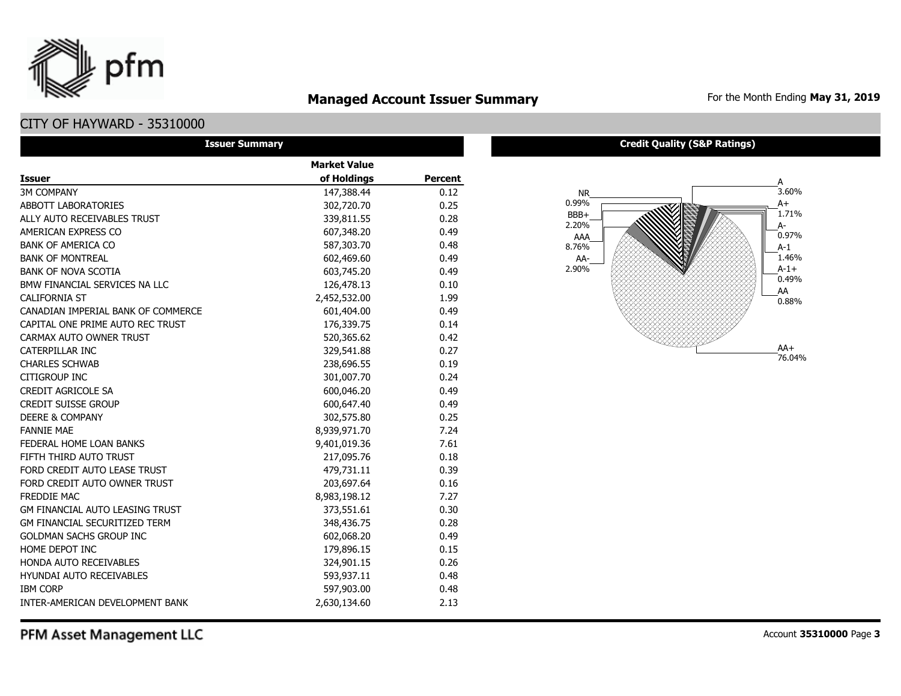### **Managed Account Issuer Summary** For the Month Ending May 31, 2019

### CITY OF HAYWARD - 35310000

pfm

| <b>Issuer Summary</b>                  |                     |         |
|----------------------------------------|---------------------|---------|
|                                        | <b>Market Value</b> |         |
| Issuer                                 | of Holdings         | Percent |
| <b>3M COMPANY</b>                      | 147,388.44          | 0.12    |
| ABBOTT LABORATORIES                    | 302,720.70          | 0.25    |
| ALLY AUTO RECEIVABLES TRUST            | 339,811.55          | 0.28    |
| AMERICAN EXPRESS CO                    | 607,348.20          | 0.49    |
| <b>BANK OF AMERICA CO</b>              | 587,303.70          | 0.48    |
| <b>BANK OF MONTREAL</b>                | 602,469.60          | 0.49    |
| <b>BANK OF NOVA SCOTIA</b>             | 603,745.20          | 0.49    |
| BMW FINANCIAL SERVICES NA LLC          | 126,478.13          | 0.10    |
| <b>CALIFORNIA ST</b>                   | 2,452,532.00        | 1.99    |
| CANADIAN IMPERIAL BANK OF COMMERCE     | 601,404.00          | 0.49    |
| CAPITAL ONE PRIME AUTO REC TRUST       | 176,339.75          | 0.14    |
| CARMAX AUTO OWNER TRUST                | 520,365.62          | 0.42    |
| CATERPILLAR INC                        | 329,541.88          | 0.27    |
| <b>CHARLES SCHWAB</b>                  | 238,696.55          | 0.19    |
| CITIGROUP INC                          | 301,007.70          | 0.24    |
| <b>CREDIT AGRICOLE SA</b>              | 600,046.20          | 0.49    |
| <b>CREDIT SUISSE GROUP</b>             | 600,647.40          | 0.49    |
| <b>DEERE &amp; COMPANY</b>             | 302,575.80          | 0.25    |
| <b>FANNIE MAE</b>                      | 8,939,971.70        | 7.24    |
| FEDERAL HOME LOAN BANKS                | 9,401,019.36        | 7.61    |
| FIFTH THIRD AUTO TRUST                 | 217,095.76          | 0.18    |
| FORD CREDIT AUTO LEASE TRUST           | 479,731.11          | 0.39    |
| FORD CREDIT AUTO OWNER TRUST           | 203,697.64          | 0.16    |
| FREDDIE MAC                            | 8,983,198.12        | 7.27    |
| <b>GM FINANCIAL AUTO LEASING TRUST</b> | 373,551.61          | 0.30    |
| <b>GM FINANCIAL SECURITIZED TERM</b>   | 348,436.75          | 0.28    |
| <b>GOLDMAN SACHS GROUP INC</b>         | 602,068.20          | 0.49    |
| HOME DEPOT INC                         | 179,896.15          | 0.15    |
| <b>HONDA AUTO RECEIVABLES</b>          | 324,901.15          | 0.26    |
| <b>HYUNDAI AUTO RECEIVABLES</b>        | 593,937.11          | 0.48    |
| <b>IBM CORP</b>                        | 597,903.00          | 0.48    |
| INTER-AMERICAN DEVELOPMENT BANK        | 2,630,134.60        | 2.13    |

**Credit Quality (S&P Ratings)**



PFM Asset Management LLC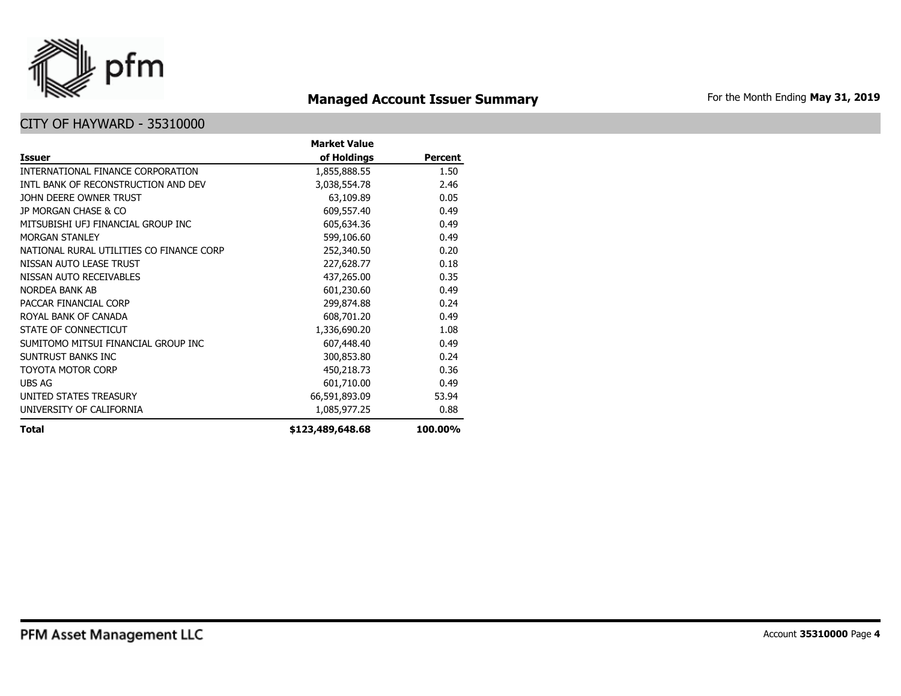

# **Managed Account Issuer Summary** For the Month Ending May 31, 2019

|                                          | <b>Market Value</b> |                |
|------------------------------------------|---------------------|----------------|
| <b>Issuer</b>                            | of Holdings         | <b>Percent</b> |
| INTERNATIONAL FINANCE CORPORATION        | 1,855,888.55        | 1.50           |
| INTL BANK OF RECONSTRUCTION AND DEV      | 3,038,554.78        | 2.46           |
| JOHN DEERE OWNER TRUST                   | 63,109.89           | 0.05           |
| JP MORGAN CHASE & CO                     | 609,557.40          | 0.49           |
| MITSUBISHI UFJ FINANCIAL GROUP INC       | 605,634.36          | 0.49           |
| MORGAN STANI FY                          | 599,106.60          | 0.49           |
| NATIONAL RURAL UTILITIES CO FINANCE CORP | 252,340.50          | 0.20           |
| NISSAN AUTO LEASE TRUST                  | 227,628.77          | 0.18           |
| NISSAN AUTO RECEIVABLES                  | 437,265.00          | 0.35           |
| NORDEA BANK AB                           | 601,230.60          | 0.49           |
| PACCAR FINANCIAL CORP                    | 299,874.88          | 0.24           |
| ROYAL BANK OF CANADA                     | 608,701.20          | 0.49           |
| STATE OF CONNECTICUT                     | 1,336,690.20        | 1.08           |
| SUMITOMO MITSUI FINANCIAL GROUP INC      | 607,448.40          | 0.49           |
| SUNTRUST BANKS INC                       | 300,853.80          | 0.24           |
| TOYOTA MOTOR CORP                        | 450,218.73          | 0.36           |
| UBS AG                                   | 601,710.00          | 0.49           |
| UNITED STATES TREASURY                   | 66,591,893.09       | 53.94          |
| UNIVERSITY OF CALIFORNIA                 | 1,085,977.25        | 0.88           |
| <b>Total</b>                             | \$123,489,648.68    | 100.00%        |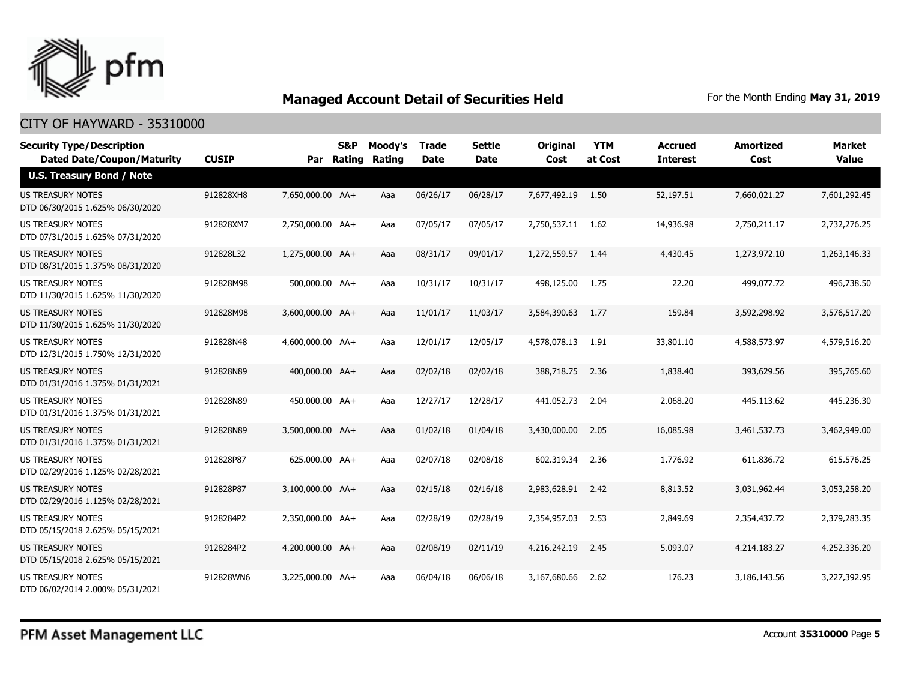

| <b>Security Type/Description</b><br><b>Dated Date/Coupon/Maturity</b> | <b>CUSIP</b> |                  | S&P<br>Par Rating | Moody's<br>Rating | <b>Trade</b><br><b>Date</b> | Settle<br><b>Date</b> | <b>Original</b><br>Cost | <b>YTM</b><br>at Cost | <b>Accrued</b><br><b>Interest</b> | <b>Amortized</b><br>Cost | Market<br><b>Value</b> |
|-----------------------------------------------------------------------|--------------|------------------|-------------------|-------------------|-----------------------------|-----------------------|-------------------------|-----------------------|-----------------------------------|--------------------------|------------------------|
| <b>U.S. Treasury Bond / Note</b>                                      |              |                  |                   |                   |                             |                       |                         |                       |                                   |                          |                        |
| <b>US TREASURY NOTES</b><br>DTD 06/30/2015 1.625% 06/30/2020          | 912828XH8    | 7,650,000.00 AA+ |                   | Aaa               | 06/26/17                    | 06/28/17              | 7,677,492.19 1.50       |                       | 52,197.51                         | 7,660,021.27             | 7,601,292.45           |
| US TREASURY NOTES<br>DTD 07/31/2015 1.625% 07/31/2020                 | 912828XM7    | 2,750,000.00 AA+ |                   | Aaa               | 07/05/17                    | 07/05/17              | 2,750,537.11            | 1.62                  | 14,936.98                         | 2,750,211.17             | 2,732,276.25           |
| US TREASURY NOTES<br>DTD 08/31/2015 1.375% 08/31/2020                 | 912828L32    | 1,275,000.00 AA+ |                   | Aaa               | 08/31/17                    | 09/01/17              | 1,272,559.57            | 1.44                  | 4,430.45                          | 1,273,972.10             | 1,263,146.33           |
| <b>US TREASURY NOTES</b><br>DTD 11/30/2015 1.625% 11/30/2020          | 912828M98    | 500,000.00 AA+   |                   | Aaa               | 10/31/17                    | 10/31/17              | 498,125.00              | 1.75                  | 22.20                             | 499,077.72               | 496,738.50             |
| <b>US TREASURY NOTES</b><br>DTD 11/30/2015 1.625% 11/30/2020          | 912828M98    | 3,600,000.00 AA+ |                   | Aaa               | 11/01/17                    | 11/03/17              | 3,584,390.63            | 1.77                  | 159.84                            | 3,592,298.92             | 3,576,517.20           |
| <b>US TREASURY NOTES</b><br>DTD 12/31/2015 1.750% 12/31/2020          | 912828N48    | 4,600,000.00 AA+ |                   | Aaa               | 12/01/17                    | 12/05/17              | 4,578,078.13            | 1.91                  | 33,801.10                         | 4,588,573.97             | 4,579,516.20           |
| <b>US TREASURY NOTES</b><br>DTD 01/31/2016 1.375% 01/31/2021          | 912828N89    | 400,000.00 AA+   |                   | Aaa               | 02/02/18                    | 02/02/18              | 388,718.75              | 2.36                  | 1,838.40                          | 393,629.56               | 395,765.60             |
| US TREASURY NOTES<br>DTD 01/31/2016 1.375% 01/31/2021                 | 912828N89    | 450,000.00 AA+   |                   | Aaa               | 12/27/17                    | 12/28/17              | 441,052.73              | 2.04                  | 2,068.20                          | 445,113.62               | 445,236.30             |
| US TREASURY NOTES<br>DTD 01/31/2016 1.375% 01/31/2021                 | 912828N89    | 3,500,000.00 AA+ |                   | Aaa               | 01/02/18                    | 01/04/18              | 3,430,000.00            | 2.05                  | 16,085.98                         | 3,461,537.73             | 3,462,949.00           |
| <b>US TREASURY NOTES</b><br>DTD 02/29/2016 1.125% 02/28/2021          | 912828P87    | 625,000.00 AA+   |                   | Aaa               | 02/07/18                    | 02/08/18              | 602,319.34              | 2.36                  | 1,776.92                          | 611,836.72               | 615,576.25             |
| US TREASURY NOTES<br>DTD 02/29/2016 1.125% 02/28/2021                 | 912828P87    | 3,100,000.00 AA+ |                   | Aaa               | 02/15/18                    | 02/16/18              | 2,983,628.91            | 2.42                  | 8,813.52                          | 3,031,962.44             | 3,053,258.20           |
| <b>US TREASURY NOTES</b><br>DTD 05/15/2018 2.625% 05/15/2021          | 9128284P2    | 2,350,000.00 AA+ |                   | Aaa               | 02/28/19                    | 02/28/19              | 2,354,957.03            | 2.53                  | 2,849.69                          | 2,354,437.72             | 2,379,283.35           |
| <b>US TREASURY NOTES</b><br>DTD 05/15/2018 2.625% 05/15/2021          | 9128284P2    | 4,200,000.00 AA+ |                   | Aaa               | 02/08/19                    | 02/11/19              | 4,216,242.19            | 2.45                  | 5,093.07                          | 4,214,183.27             | 4,252,336.20           |
| <b>US TREASURY NOTES</b><br>DTD 06/02/2014 2.000% 05/31/2021          | 912828WN6    | 3,225,000.00 AA+ |                   | Aaa               | 06/04/18                    | 06/06/18              | 3,167,680.66            | 2.62                  | 176.23                            | 3,186,143.56             | 3,227,392.95           |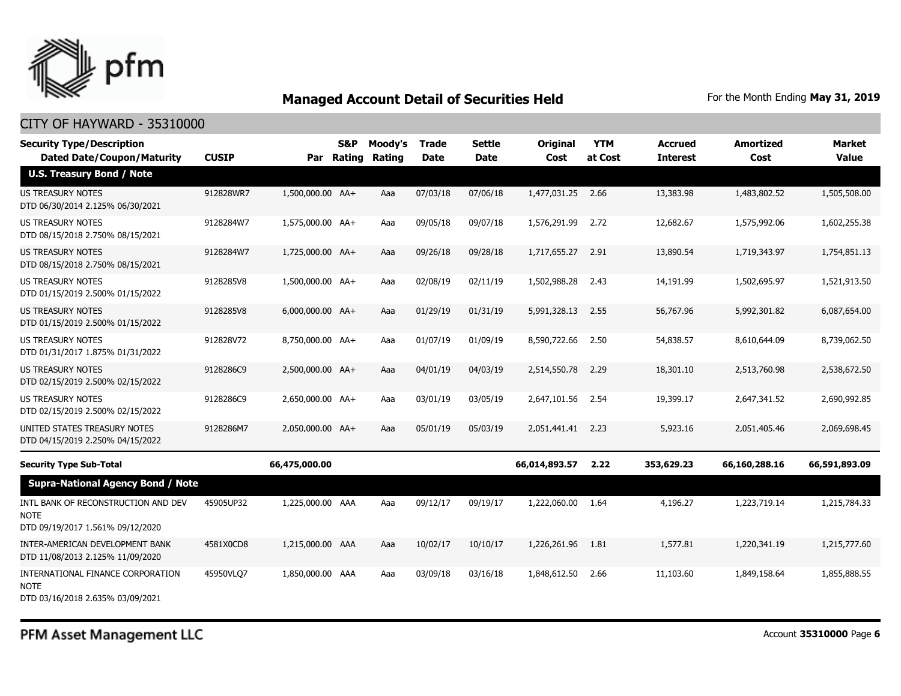

| <b>Security Type/Description</b><br><b>Dated Date/Coupon/Maturity</b>                  | <b>CUSIP</b> |                  | <b>S&amp;P</b><br>Par Rating | Moody's<br>Rating | <b>Trade</b><br><b>Date</b> | <b>Settle</b><br><b>Date</b> | <b>Original</b><br>Cost | <b>YTM</b><br>at Cost | Accrued<br><b>Interest</b> | <b>Amortized</b><br>Cost | <b>Market</b><br><b>Value</b> |
|----------------------------------------------------------------------------------------|--------------|------------------|------------------------------|-------------------|-----------------------------|------------------------------|-------------------------|-----------------------|----------------------------|--------------------------|-------------------------------|
| <b>U.S. Treasury Bond / Note</b>                                                       |              |                  |                              |                   |                             |                              |                         |                       |                            |                          |                               |
| <b>US TREASURY NOTES</b><br>DTD 06/30/2014 2.125% 06/30/2021                           | 912828WR7    | 1,500,000.00 AA+ |                              | Aaa               | 07/03/18                    | 07/06/18                     | 1,477,031.25            | 2.66                  | 13,383.98                  | 1,483,802.52             | 1,505,508.00                  |
| <b>US TREASURY NOTES</b><br>DTD 08/15/2018 2.750% 08/15/2021                           | 9128284W7    | 1,575,000.00 AA+ |                              | Aaa               | 09/05/18                    | 09/07/18                     | 1,576,291.99            | 2.72                  | 12,682.67                  | 1,575,992.06             | 1,602,255.38                  |
| <b>US TREASURY NOTES</b><br>DTD 08/15/2018 2.750% 08/15/2021                           | 9128284W7    | 1,725,000.00 AA+ |                              | Aaa               | 09/26/18                    | 09/28/18                     | 1,717,655.27            | 2.91                  | 13,890.54                  | 1,719,343.97             | 1,754,851.13                  |
| <b>US TREASURY NOTES</b><br>DTD 01/15/2019 2.500% 01/15/2022                           | 9128285V8    | 1,500,000.00 AA+ |                              | Aaa               | 02/08/19                    | 02/11/19                     | 1,502,988.28            | 2.43                  | 14,191.99                  | 1,502,695.97             | 1,521,913.50                  |
| US TREASURY NOTES<br>DTD 01/15/2019 2.500% 01/15/2022                                  | 9128285V8    | 6,000,000.00 AA+ |                              | Aaa               | 01/29/19                    | 01/31/19                     | 5,991,328.13            | 2.55                  | 56,767.96                  | 5,992,301.82             | 6,087,654,00                  |
| <b>US TREASURY NOTES</b><br>DTD 01/31/2017 1.875% 01/31/2022                           | 912828V72    | 8,750,000.00 AA+ |                              | Aaa               | 01/07/19                    | 01/09/19                     | 8,590,722.66            | 2.50                  | 54,838.57                  | 8,610,644.09             | 8,739,062.50                  |
| <b>US TREASURY NOTES</b><br>DTD 02/15/2019 2.500% 02/15/2022                           | 9128286C9    | 2,500,000.00 AA+ |                              | Aaa               | 04/01/19                    | 04/03/19                     | 2,514,550.78            | 2.29                  | 18,301.10                  | 2,513,760.98             | 2,538,672.50                  |
| <b>US TREASURY NOTES</b><br>DTD 02/15/2019 2.500% 02/15/2022                           | 9128286C9    | 2,650,000.00 AA+ |                              | Aaa               | 03/01/19                    | 03/05/19                     | 2,647,101.56            | 2.54                  | 19,399.17                  | 2,647,341.52             | 2,690,992.85                  |
| UNITED STATES TREASURY NOTES<br>DTD 04/15/2019 2.250% 04/15/2022                       | 9128286M7    | 2.050.000.00 AA+ |                              | Aaa               | 05/01/19                    | 05/03/19                     | 2,051,441.41            | 2.23                  | 5,923.16                   | 2,051,405.46             | 2,069,698.45                  |
| <b>Security Type Sub-Total</b>                                                         |              | 66,475,000.00    |                              |                   |                             |                              | 66,014,893.57           | 2.22                  | 353,629.23                 | 66,160,288.16            | 66,591,893.09                 |
| <b>Supra-National Agency Bond / Note</b>                                               |              |                  |                              |                   |                             |                              |                         |                       |                            |                          |                               |
| INTL BANK OF RECONSTRUCTION AND DEV<br><b>NOTE</b><br>DTD 09/19/2017 1.561% 09/12/2020 | 45905UP32    | 1,225,000.00 AAA |                              | Aaa               | 09/12/17                    | 09/19/17                     | 1,222,060.00            | 1.64                  | 4,196.27                   | 1,223,719.14             | 1,215,784.33                  |
| INTER-AMERICAN DEVELOPMENT BANK<br>DTD 11/08/2013 2.125% 11/09/2020                    | 4581X0CD8    | 1,215,000.00 AAA |                              | Aaa               | 10/02/17                    | 10/10/17                     | 1,226,261.96            | 1.81                  | 1,577.81                   | 1,220,341.19             | 1,215,777.60                  |
| INTERNATIONAL FINANCE CORPORATION<br><b>NOTE</b><br>DTD 03/16/2018 2.635% 03/09/2021   | 45950VLQ7    | 1,850,000.00 AAA |                              | Aaa               | 03/09/18                    | 03/16/18                     | 1,848,612.50            | 2.66                  | 11,103.60                  | 1,849,158.64             | 1,855,888.55                  |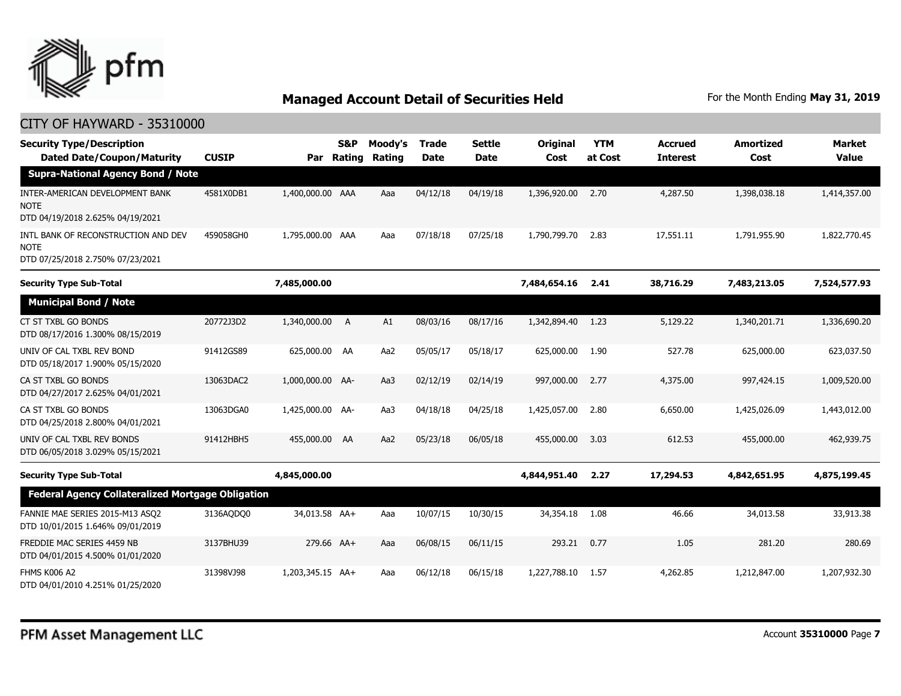

| <b>Security Type/Description</b><br><b>Dated Date/Coupon/Maturity</b>                     | <b>CUSIP</b> | Par              | S&P<br>Rating | Moody's<br>Rating | <b>Trade</b><br><b>Date</b> | <b>Settle</b><br>Date | <b>Original</b><br>Cost | <b>YTM</b><br>at Cost | <b>Accrued</b><br><b>Interest</b> | <b>Amortized</b><br>Cost | <b>Market</b><br><b>Value</b> |
|-------------------------------------------------------------------------------------------|--------------|------------------|---------------|-------------------|-----------------------------|-----------------------|-------------------------|-----------------------|-----------------------------------|--------------------------|-------------------------------|
| <b>Supra-National Agency Bond / Note</b>                                                  |              |                  |               |                   |                             |                       |                         |                       |                                   |                          |                               |
| <b>INTER-AMERICAN DEVELOPMENT BANK</b><br><b>NOTE</b><br>DTD 04/19/2018 2.625% 04/19/2021 | 4581X0DB1    | 1,400,000.00 AAA |               | Aaa               | 04/12/18                    | 04/19/18              | 1,396,920.00            | 2.70                  | 4,287.50                          | 1,398,038.18             | 1,414,357.00                  |
| INTL BANK OF RECONSTRUCTION AND DEV<br><b>NOTE</b><br>DTD 07/25/2018 2.750% 07/23/2021    | 459058GH0    | 1,795,000.00 AAA |               | Aaa               | 07/18/18                    | 07/25/18              | 1,790,799.70            | 2.83                  | 17,551.11                         | 1,791,955.90             | 1,822,770.45                  |
| <b>Security Type Sub-Total</b>                                                            |              | 7,485,000.00     |               |                   |                             |                       | 7,484,654.16            | 2.41                  | 38,716.29                         | 7,483,213.05             | 7,524,577.93                  |
| <b>Municipal Bond / Note</b>                                                              |              |                  |               |                   |                             |                       |                         |                       |                                   |                          |                               |
| CT ST TXBL GO BONDS<br>DTD 08/17/2016 1.300% 08/15/2019                                   | 20772J3D2    | 1,340,000.00     | A             | A1                | 08/03/16                    | 08/17/16              | 1,342,894.40            | 1.23                  | 5,129.22                          | 1,340,201.71             | 1,336,690,20                  |
| UNIV OF CAL TXBL REV BOND<br>DTD 05/18/2017 1.900% 05/15/2020                             | 91412GS89    | 625,000.00       | AA            | Aa2               | 05/05/17                    | 05/18/17              | 625,000.00              | 1.90                  | 527.78                            | 625,000,00               | 623,037.50                    |
| CA ST TXBL GO BONDS<br>DTD 04/27/2017 2.625% 04/01/2021                                   | 13063DAC2    | 1,000,000.00 AA- |               | Aa3               | 02/12/19                    | 02/14/19              | 997,000.00              | 2.77                  | 4,375,00                          | 997,424.15               | 1,009,520,00                  |
| CA ST TXBL GO BONDS<br>DTD 04/25/2018 2.800% 04/01/2021                                   | 13063DGA0    | 1,425,000.00 AA- |               | Aa3               | 04/18/18                    | 04/25/18              | 1,425,057.00            | 2.80                  | 6,650.00                          | 1,425,026.09             | 1,443,012.00                  |
| UNIV OF CAL TXBL REV BONDS<br>DTD 06/05/2018 3.029% 05/15/2021                            | 91412HBH5    | 455,000.00       | AA            | Aa2               | 05/23/18                    | 06/05/18              | 455,000.00              | 3.03                  | 612.53                            | 455,000.00               | 462,939.75                    |
| <b>Security Type Sub-Total</b>                                                            |              | 4,845,000.00     |               |                   |                             |                       | 4,844,951.40            | 2.27                  | 17,294.53                         | 4,842,651.95             | 4,875,199.45                  |
| <b>Federal Agency Collateralized Mortgage Obligation</b>                                  |              |                  |               |                   |                             |                       |                         |                       |                                   |                          |                               |
| FANNIE MAE SERIES 2015-M13 ASO2<br>DTD 10/01/2015 1.646% 09/01/2019                       | 3136AQDQ0    | 34,013.58 AA+    |               | Aaa               | 10/07/15                    | 10/30/15              | 34,354.18               | 1.08                  | 46.66                             | 34,013.58                | 33,913.38                     |
| FREDDIE MAC SERIES 4459 NB<br>DTD 04/01/2015 4.500% 01/01/2020                            | 3137BHU39    | 279.66 AA+       |               | Aaa               | 06/08/15                    | 06/11/15              | 293.21                  | 0.77                  | 1.05                              | 281.20                   | 280.69                        |
| FHMS K006 A2<br>DTD 04/01/2010 4.251% 01/25/2020                                          | 31398VJ98    | 1,203,345.15 AA+ |               | Aaa               | 06/12/18                    | 06/15/18              | 1,227,788.10            | 1.57                  | 4,262.85                          | 1,212,847.00             | 1,207,932.30                  |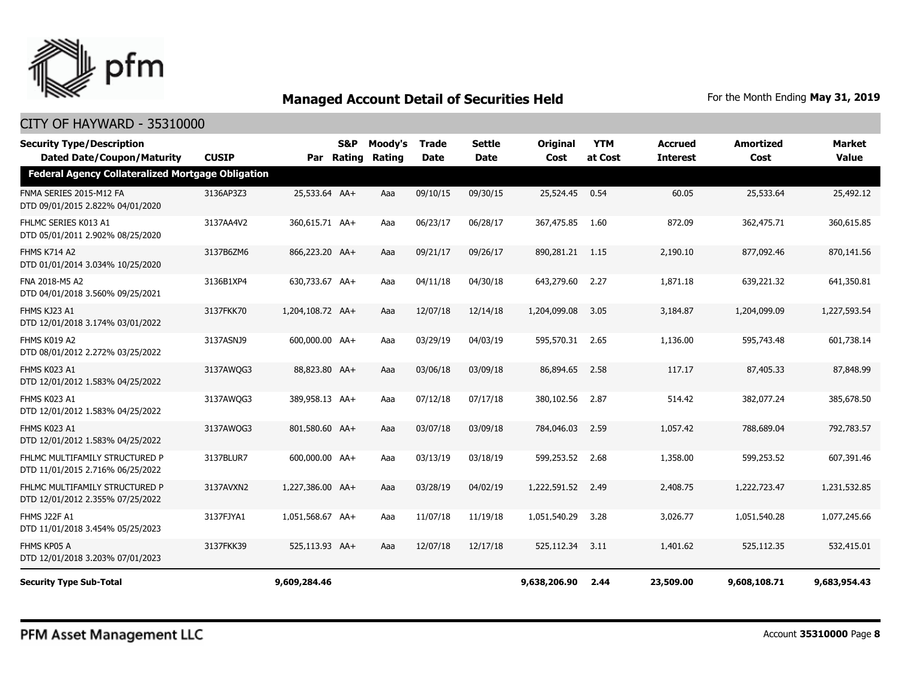

| <b>Security Type/Description</b><br><b>Dated Date/Coupon/Maturity</b> | <b>CUSIP</b> |                  | S&P<br>Par Rating | Moody's<br>Rating | Trade<br><b>Date</b> | <b>Settle</b><br><b>Date</b> | <b>Original</b><br>Cost | <b>YTM</b><br>at Cost | <b>Accrued</b><br><b>Interest</b> | <b>Amortized</b><br>Cost | <b>Market</b><br><b>Value</b> |
|-----------------------------------------------------------------------|--------------|------------------|-------------------|-------------------|----------------------|------------------------------|-------------------------|-----------------------|-----------------------------------|--------------------------|-------------------------------|
| <b>Federal Agency Collateralized Mortgage Obligation</b>              |              |                  |                   |                   |                      |                              |                         |                       |                                   |                          |                               |
| FNMA SERIES 2015-M12 FA<br>DTD 09/01/2015 2.822% 04/01/2020           | 3136AP3Z3    | 25,533.64 AA+    |                   | Aaa               | 09/10/15             | 09/30/15                     | 25,524.45               | 0.54                  | 60.05                             | 25,533.64                | 25,492.12                     |
| FHLMC SERIES K013 A1<br>DTD 05/01/2011 2.902% 08/25/2020              | 3137AA4V2    | 360,615.71 AA+   |                   | Aaa               | 06/23/17             | 06/28/17                     | 367,475.85              | 1.60                  | 872.09                            | 362,475.71               | 360,615.85                    |
| <b>FHMS K714 A2</b><br>DTD 01/01/2014 3.034% 10/25/2020               | 3137B6ZM6    | 866,223.20 AA+   |                   | Aaa               | 09/21/17             | 09/26/17                     | 890,281.21              | 1.15                  | 2,190.10                          | 877,092.46               | 870,141.56                    |
| FNA 2018-M5 A2<br>DTD 04/01/2018 3.560% 09/25/2021                    | 3136B1XP4    | 630,733.67 AA+   |                   | Aaa               | 04/11/18             | 04/30/18                     | 643,279.60              | 2.27                  | 1,871.18                          | 639,221.32               | 641,350.81                    |
| FHMS KJ23 A1<br>DTD 12/01/2018 3.174% 03/01/2022                      | 3137FKK70    | 1,204,108.72 AA+ |                   | Aaa               | 12/07/18             | 12/14/18                     | 1,204,099.08            | 3.05                  | 3,184.87                          | 1,204,099.09             | 1,227,593.54                  |
| FHMS K019 A2<br>DTD 08/01/2012 2.272% 03/25/2022                      | 3137ASNJ9    | 600,000.00 AA+   |                   | Aaa               | 03/29/19             | 04/03/19                     | 595,570.31              | 2.65                  | 1,136.00                          | 595,743.48               | 601,738.14                    |
| FHMS K023 A1<br>DTD 12/01/2012 1.583% 04/25/2022                      | 3137AWOG3    | 88,823.80 AA+    |                   | Aaa               | 03/06/18             | 03/09/18                     | 86,894.65               | 2.58                  | 117.17                            | 87,405.33                | 87,848.99                     |
| FHMS K023 A1<br>DTD 12/01/2012 1.583% 04/25/2022                      | 3137AWQG3    | 389,958.13 AA+   |                   | Aaa               | 07/12/18             | 07/17/18                     | 380,102.56              | 2.87                  | 514.42                            | 382,077.24               | 385,678.50                    |
| FHMS K023 A1<br>DTD 12/01/2012 1.583% 04/25/2022                      | 3137AWQG3    | 801,580.60 AA+   |                   | Aaa               | 03/07/18             | 03/09/18                     | 784,046.03              | 2.59                  | 1,057.42                          | 788,689.04               | 792,783.57                    |
| FHLMC MULTIFAMILY STRUCTURED P<br>DTD 11/01/2015 2.716% 06/25/2022    | 3137BLUR7    | 600,000.00 AA+   |                   | Aaa               | 03/13/19             | 03/18/19                     | 599,253.52              | 2.68                  | 1,358.00                          | 599,253.52               | 607,391.46                    |
| FHLMC MULTIFAMILY STRUCTURED P<br>DTD 12/01/2012 2.355% 07/25/2022    | 3137AVXN2    | 1,227,386.00 AA+ |                   | Aaa               | 03/28/19             | 04/02/19                     | 1,222,591.52            | 2.49                  | 2,408.75                          | 1,222,723.47             | 1,231,532.85                  |
| <b>FHMS J22F A1</b><br>DTD 11/01/2018 3.454% 05/25/2023               | 3137FJYA1    | 1,051,568.67 AA+ |                   | Aaa               | 11/07/18             | 11/19/18                     | 1,051,540.29            | 3.28                  | 3,026.77                          | 1,051,540.28             | 1,077,245,66                  |
| FHMS KP05 A<br>DTD 12/01/2018 3.203% 07/01/2023                       | 3137FKK39    | 525,113.93 AA+   |                   | Aaa               | 12/07/18             | 12/17/18                     | 525,112.34              | 3.11                  | 1,401.62                          | 525,112.35               | 532,415.01                    |
| <b>Security Type Sub-Total</b>                                        |              | 9,609,284.46     |                   |                   |                      |                              | 9,638,206.90            | 2.44                  | 23,509.00                         | 9,608,108.71             | 9,683,954.43                  |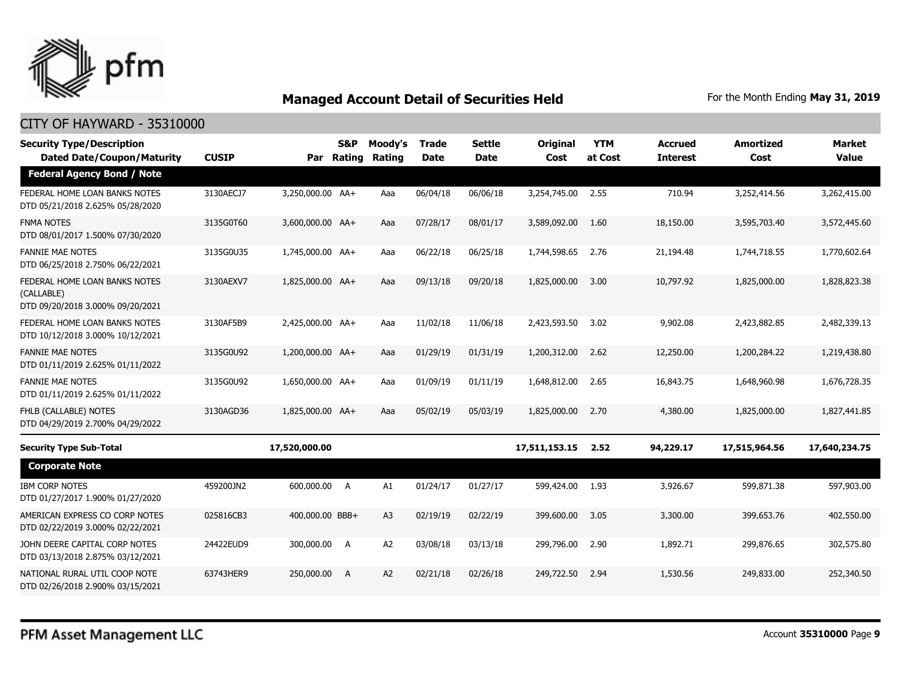

| <b>Security Type/Description</b><br><b>Dated Date/Coupon/Maturity</b>           | <b>CUSIP</b> | Par              | S&P<br><b>Rating</b> | Moody's<br>Rating | <b>Trade</b><br><b>Date</b> | <b>Settle</b><br>Date | <b>Original</b><br>Cost | <b>YTM</b><br>at Cost | <b>Accrued</b><br><b>Interest</b> | <b>Amortized</b><br>Cost | <b>Market</b><br><b>Value</b> |
|---------------------------------------------------------------------------------|--------------|------------------|----------------------|-------------------|-----------------------------|-----------------------|-------------------------|-----------------------|-----------------------------------|--------------------------|-------------------------------|
| <b>Federal Agency Bond / Note</b>                                               |              |                  |                      |                   |                             |                       |                         |                       |                                   |                          |                               |
| FEDERAL HOME LOAN BANKS NOTES<br>DTD 05/21/2018 2.625% 05/28/2020               | 3130AECJ7    | 3,250,000.00 AA+ |                      | Aaa               | 06/04/18                    | 06/06/18              | 3,254,745.00            | 2.55                  | 710.94                            | 3,252,414.56             | 3,262,415.00                  |
| <b>FNMA NOTES</b><br>DTD 08/01/2017 1.500% 07/30/2020                           | 3135G0T60    | 3,600,000.00 AA+ |                      | Aaa               | 07/28/17                    | 08/01/17              | 3,589,092.00            | 1.60                  | 18,150.00                         | 3,595,703.40             | 3,572,445.60                  |
| <b>FANNIE MAE NOTES</b><br>DTD 06/25/2018 2.750% 06/22/2021                     | 3135G0U35    | 1,745,000.00 AA+ |                      | Aaa               | 06/22/18                    | 06/25/18              | 1,744,598.65            | 2.76                  | 21,194.48                         | 1,744,718.55             | 1,770,602.64                  |
| FEDERAL HOME LOAN BANKS NOTES<br>(CALLABLE)<br>DTD 09/20/2018 3.000% 09/20/2021 | 3130AEXV7    | 1,825,000.00 AA+ |                      | Aaa               | 09/13/18                    | 09/20/18              | 1,825,000.00            | 3.00                  | 10,797.92                         | 1,825,000.00             | 1,828,823.38                  |
| FEDERAL HOME LOAN BANKS NOTES<br>DTD 10/12/2018 3.000% 10/12/2021               | 3130AF5B9    | 2,425,000.00 AA+ |                      | Aaa               | 11/02/18                    | 11/06/18              | 2,423,593.50            | 3.02                  | 9,902.08                          | 2,423,882.85             | 2,482,339.13                  |
| <b>FANNIE MAE NOTES</b><br>DTD 01/11/2019 2.625% 01/11/2022                     | 3135G0U92    | 1,200,000.00 AA+ |                      | Aaa               | 01/29/19                    | 01/31/19              | 1,200,312.00            | 2.62                  | 12,250.00                         | 1,200,284.22             | 1,219,438.80                  |
| <b>FANNIE MAE NOTES</b><br>DTD 01/11/2019 2.625% 01/11/2022                     | 3135G0U92    | 1,650,000.00 AA+ |                      | Aaa               | 01/09/19                    | 01/11/19              | 1,648,812.00            | 2.65                  | 16,843.75                         | 1,648,960.98             | 1,676,728.35                  |
| FHLB (CALLABLE) NOTES<br>DTD 04/29/2019 2.700% 04/29/2022                       | 3130AGD36    | 1,825,000.00 AA+ |                      | Aaa               | 05/02/19                    | 05/03/19              | 1,825,000.00            | 2.70                  | 4,380.00                          | 1,825,000.00             | 1,827,441.85                  |
| <b>Security Type Sub-Total</b>                                                  |              | 17,520,000.00    |                      |                   |                             |                       | 17,511,153.15           | 2.52                  | 94,229.17                         | 17,515,964.56            | 17,640,234.75                 |
| <b>Corporate Note</b>                                                           |              |                  |                      |                   |                             |                       |                         |                       |                                   |                          |                               |
| <b>IBM CORP NOTES</b><br>DTD 01/27/2017 1.900% 01/27/2020                       | 459200JN2    | 600,000.00 A     |                      | A1                | 01/24/17                    | 01/27/17              | 599,424.00              | 1.93                  | 3,926.67                          | 599,871.38               | 597,903.00                    |
| AMERICAN EXPRESS CO CORP NOTES<br>DTD 02/22/2019 3.000% 02/22/2021              | 025816CB3    | 400,000.00 BBB+  |                      | A3                | 02/19/19                    | 02/22/19              | 399,600.00              | 3.05                  | 3,300.00                          | 399,653.76               | 402,550.00                    |
| JOHN DEERE CAPITAL CORP NOTES<br>DTD 03/13/2018 2.875% 03/12/2021               | 24422EUD9    | 300,000.00 A     |                      | A <sub>2</sub>    | 03/08/18                    | 03/13/18              | 299,796.00              | 2.90                  | 1,892.71                          | 299,876.65               | 302,575.80                    |
| NATIONAL RURAL UTIL COOP NOTE<br>DTD 02/26/2018 2.900% 03/15/2021               | 63743HER9    | 250,000.00       | A                    | A2                | 02/21/18                    | 02/26/18              | 249,722.50              | 2.94                  | 1,530.56                          | 249,833,00               | 252,340.50                    |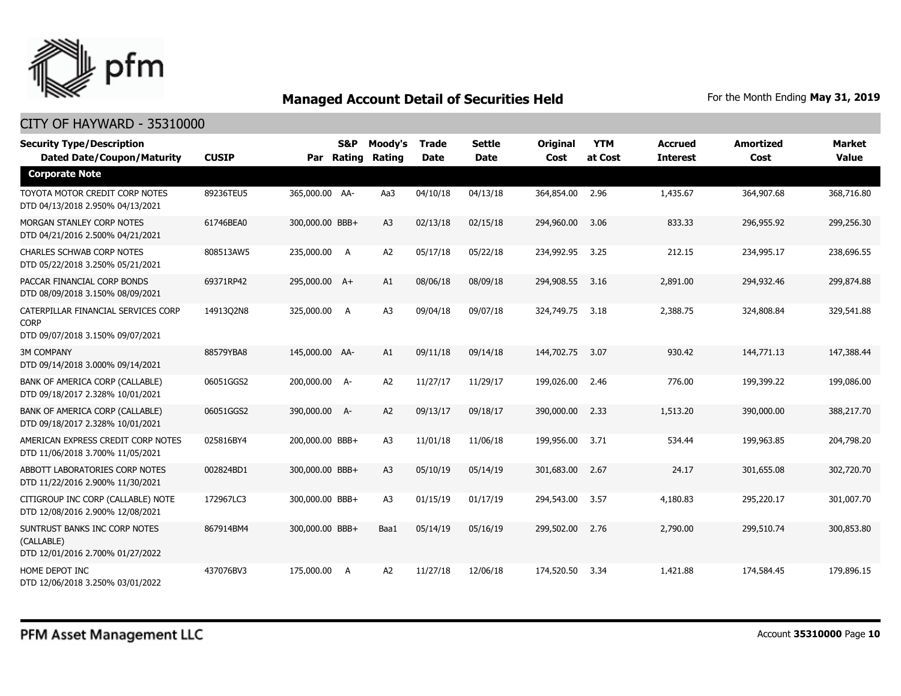

| <b>Security Type/Description</b><br><b>Dated Date/Coupon/Maturity</b>                  | <b>CUSIP</b> | Par             | S&P<br>Rating | Moody's<br>Rating | Trade<br><b>Date</b> | <b>Settle</b><br><b>Date</b> | <b>Original</b><br>Cost | <b>YTM</b><br>at Cost | <b>Accrued</b><br><b>Interest</b> | Amortized<br>Cost | <b>Market</b><br><b>Value</b> |
|----------------------------------------------------------------------------------------|--------------|-----------------|---------------|-------------------|----------------------|------------------------------|-------------------------|-----------------------|-----------------------------------|-------------------|-------------------------------|
| <b>Corporate Note</b>                                                                  |              |                 |               |                   |                      |                              |                         |                       |                                   |                   |                               |
| TOYOTA MOTOR CREDIT CORP NOTES<br>DTD 04/13/2018 2.950% 04/13/2021                     | 89236TEU5    | 365,000.00 AA-  |               | Aa3               | 04/10/18             | 04/13/18                     | 364,854.00              | 2.96                  | 1,435.67                          | 364,907.68        | 368,716.80                    |
| MORGAN STANLEY CORP NOTES<br>DTD 04/21/2016 2.500% 04/21/2021                          | 61746BEA0    | 300,000.00 BBB+ |               | A3                | 02/13/18             | 02/15/18                     | 294,960.00              | 3.06                  | 833.33                            | 296,955.92        | 299,256.30                    |
| <b>CHARLES SCHWAB CORP NOTES</b><br>DTD 05/22/2018 3.250% 05/21/2021                   | 808513AW5    | 235,000.00 A    |               | A <sub>2</sub>    | 05/17/18             | 05/22/18                     | 234,992.95              | 3.25                  | 212.15                            | 234,995.17        | 238,696.55                    |
| PACCAR FINANCIAL CORP BONDS<br>DTD 08/09/2018 3.150% 08/09/2021                        | 69371RP42    | 295,000.00 A+   |               | A1                | 08/06/18             | 08/09/18                     | 294,908.55              | 3.16                  | 2,891.00                          | 294,932.46        | 299,874.88                    |
| CATERPILLAR FINANCIAL SERVICES CORP<br><b>CORP</b><br>DTD 09/07/2018 3.150% 09/07/2021 | 14913Q2N8    | 325,000.00 A    |               | A <sub>3</sub>    | 09/04/18             | 09/07/18                     | 324,749.75              | 3.18                  | 2,388.75                          | 324,808.84        | 329,541.88                    |
| <b>3M COMPANY</b><br>DTD 09/14/2018 3.000% 09/14/2021                                  | 88579YBA8    | 145,000.00 AA-  |               | A1                | 09/11/18             | 09/14/18                     | 144,702.75              | 3.07                  | 930.42                            | 144,771.13        | 147,388.44                    |
| BANK OF AMERICA CORP (CALLABLE)<br>DTD 09/18/2017 2.328% 10/01/2021                    | 06051GGS2    | 200,000.00 A-   |               | A2                | 11/27/17             | 11/29/17                     | 199,026.00              | 2.46                  | 776.00                            | 199,399.22        | 199,086.00                    |
| BANK OF AMERICA CORP (CALLABLE)<br>DTD 09/18/2017 2.328% 10/01/2021                    | 06051GGS2    | 390,000.00 A-   |               | A2                | 09/13/17             | 09/18/17                     | 390,000.00              | 2.33                  | 1,513.20                          | 390,000.00        | 388,217.70                    |
| AMERICAN EXPRESS CREDIT CORP NOTES<br>DTD 11/06/2018 3.700% 11/05/2021                 | 025816BY4    | 200,000.00 BBB+ |               | A <sub>3</sub>    | 11/01/18             | 11/06/18                     | 199,956.00              | 3.71                  | 534.44                            | 199,963.85        | 204,798.20                    |
| ABBOTT LABORATORIES CORP NOTES<br>DTD 11/22/2016 2.900% 11/30/2021                     | 002824BD1    | 300,000.00 BBB+ |               | A3                | 05/10/19             | 05/14/19                     | 301,683.00              | 2.67                  | 24.17                             | 301,655.08        | 302,720.70                    |
| CITIGROUP INC CORP (CALLABLE) NOTE<br>DTD 12/08/2016 2.900% 12/08/2021                 | 172967LC3    | 300,000.00 BBB+ |               | A3                | 01/15/19             | 01/17/19                     | 294,543.00              | 3.57                  | 4,180.83                          | 295,220.17        | 301,007.70                    |
| SUNTRUST BANKS INC CORP NOTES<br>(CALLABLE)<br>DTD 12/01/2016 2.700% 01/27/2022        | 867914BM4    | 300,000.00 BBB+ |               | Baa1              | 05/14/19             | 05/16/19                     | 299,502.00              | 2.76                  | 2,790.00                          | 299,510.74        | 300,853.80                    |
| HOME DEPOT INC<br>DTD 12/06/2018 3.250% 03/01/2022                                     | 437076BV3    | 175,000.00 A    |               | A2                | 11/27/18             | 12/06/18                     | 174,520.50              | 3.34                  | 1,421.88                          | 174,584.45        | 179,896.15                    |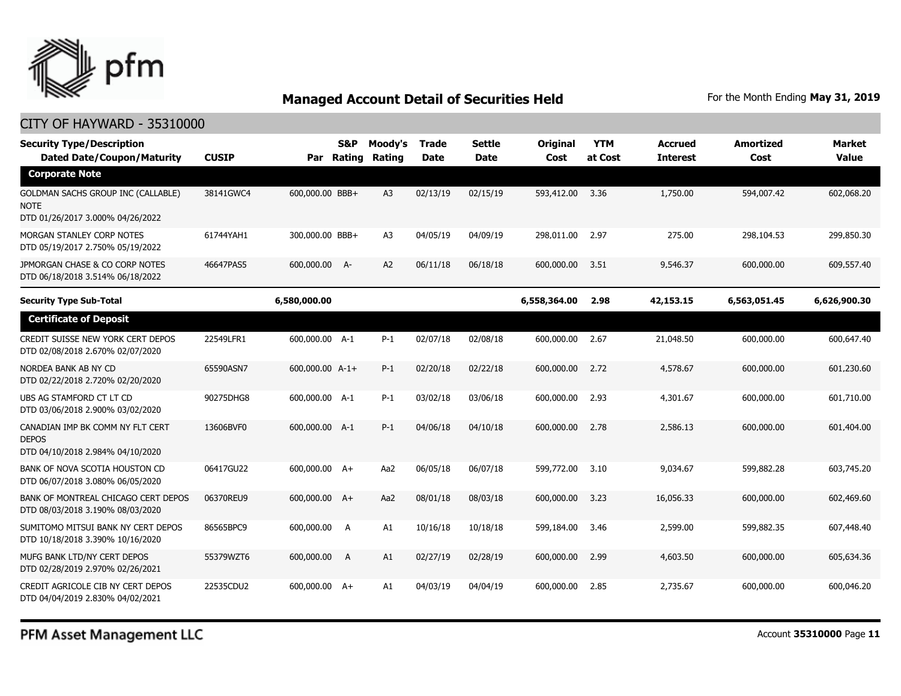

| <b>Security Type/Description</b><br><b>Dated Date/Coupon/Maturity</b>                | <b>CUSIP</b> |                 | S&P<br>Par Rating | Moody's<br>Rating | Trade<br>Date | <b>Settle</b><br>Date | Original<br>Cost | <b>YTM</b><br>at Cost | <b>Accrued</b><br>Interest | <b>Amortized</b><br>Cost | <b>Market</b><br><b>Value</b> |
|--------------------------------------------------------------------------------------|--------------|-----------------|-------------------|-------------------|---------------|-----------------------|------------------|-----------------------|----------------------------|--------------------------|-------------------------------|
| <b>Corporate Note</b>                                                                |              |                 |                   |                   |               |                       |                  |                       |                            |                          |                               |
| GOLDMAN SACHS GROUP INC (CALLABLE)<br>NOTE<br>DTD 01/26/2017 3.000% 04/26/2022       | 38141GWC4    | 600,000.00 BBB+ |                   | A <sub>3</sub>    | 02/13/19      | 02/15/19              | 593,412.00       | 3.36                  | 1,750.00                   | 594,007.42               | 602,068.20                    |
| MORGAN STANLEY CORP NOTES<br>DTD 05/19/2017 2.750% 05/19/2022                        | 61744YAH1    | 300,000.00 BBB+ |                   | A <sub>3</sub>    | 04/05/19      | 04/09/19              | 298,011.00       | 2.97                  | 275.00                     | 298,104.53               | 299,850.30                    |
| JPMORGAN CHASE & CO CORP NOTES<br>DTD 06/18/2018 3.514% 06/18/2022                   | 46647PAS5    | 600,000,00      | $A-$              | A2                | 06/11/18      | 06/18/18              | 600,000.00       | 3.51                  | 9,546.37                   | 600,000,00               | 609,557.40                    |
| <b>Security Type Sub-Total</b>                                                       |              | 6,580,000.00    |                   |                   |               |                       | 6,558,364.00     | 2.98                  | 42,153.15                  | 6,563,051.45             | 6,626,900.30                  |
| <b>Certificate of Deposit</b>                                                        |              |                 |                   |                   |               |                       |                  |                       |                            |                          |                               |
| CREDIT SUISSE NEW YORK CERT DEPOS<br>DTD 02/08/2018 2.670% 02/07/2020                | 22549LFR1    | 600,000.00 A-1  |                   | $P-1$             | 02/07/18      | 02/08/18              | 600,000.00       | 2.67                  | 21,048.50                  | 600,000.00               | 600,647.40                    |
| NORDEA BANK AB NY CD<br>DTD 02/22/2018 2.720% 02/20/2020                             | 65590ASN7    | 600,000.00 A-1+ |                   | $P-1$             | 02/20/18      | 02/22/18              | 600,000.00       | 2.72                  | 4,578.67                   | 600,000.00               | 601,230.60                    |
| UBS AG STAMFORD CT LT CD<br>DTD 03/06/2018 2.900% 03/02/2020                         | 90275DHG8    | 600,000.00 A-1  |                   | $P-1$             | 03/02/18      | 03/06/18              | 600,000,00       | 2.93                  | 4,301.67                   | 600,000.00               | 601,710.00                    |
| CANADIAN IMP BK COMM NY FLT CERT<br><b>DEPOS</b><br>DTD 04/10/2018 2.984% 04/10/2020 | 13606BVF0    | 600,000.00 A-1  |                   | $P-1$             | 04/06/18      | 04/10/18              | 600,000.00       | 2.78                  | 2,586.13                   | 600,000.00               | 601,404.00                    |
| BANK OF NOVA SCOTIA HOUSTON CD<br>DTD 06/07/2018 3.080% 06/05/2020                   | 06417GU22    | 600,000.00 A+   |                   | Aa2               | 06/05/18      | 06/07/18              | 599,772.00       | 3.10                  | 9.034.67                   | 599,882.28               | 603,745.20                    |
| BANK OF MONTREAL CHICAGO CERT DEPOS<br>DTD 08/03/2018 3.190% 08/03/2020              | 06370REU9    | 600,000.00 A+   |                   | Aa2               | 08/01/18      | 08/03/18              | 600,000.00       | 3.23                  | 16,056.33                  | 600,000.00               | 602,469.60                    |
| SUMITOMO MITSUI BANK NY CERT DEPOS<br>DTD 10/18/2018 3.390% 10/16/2020               | 86565BPC9    | 600,000.00      | A                 | A1                | 10/16/18      | 10/18/18              | 599,184.00       | 3.46                  | 2,599.00                   | 599,882.35               | 607,448.40                    |
| MUFG BANK LTD/NY CERT DEPOS<br>DTD 02/28/2019 2.970% 02/26/2021                      | 55379WZT6    | 600,000.00      | A                 | A1                | 02/27/19      | 02/28/19              | 600,000.00       | 2.99                  | 4,603.50                   | 600,000.00               | 605,634.36                    |
| CREDIT AGRICOLE CIB NY CERT DEPOS<br>DTD 04/04/2019 2.830% 04/02/2021                | 22535CDU2    | 600,000.00 A+   |                   | A1                | 04/03/19      | 04/04/19              | 600,000.00       | 2.85                  | 2,735.67                   | 600,000.00               | 600,046.20                    |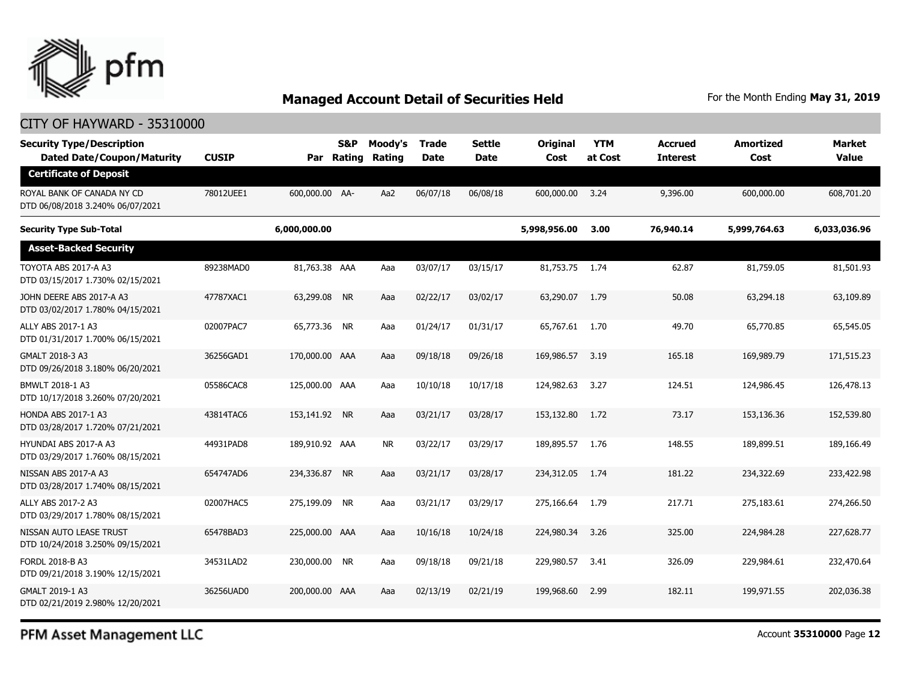

#### CITY OF HAYWARD - 35310000

| <b>Security Type/Description</b><br><b>Dated Date/Coupon/Maturity</b> | <b>CUSIP</b> | Par            | S&P<br>Rating | Moody's<br>Rating | <b>Trade</b><br><b>Date</b> | <b>Settle</b><br>Date | Original<br>Cost | <b>YTM</b><br>at Cost | <b>Accrued</b><br><b>Interest</b> | <b>Amortized</b><br>Cost | Market<br><b>Value</b> |
|-----------------------------------------------------------------------|--------------|----------------|---------------|-------------------|-----------------------------|-----------------------|------------------|-----------------------|-----------------------------------|--------------------------|------------------------|
| <b>Certificate of Deposit</b>                                         |              |                |               |                   |                             |                       |                  |                       |                                   |                          |                        |
| ROYAL BANK OF CANADA NY CD<br>DTD 06/08/2018 3.240% 06/07/2021        | 78012UEE1    | 600,000.00 AA- |               | Aa2               | 06/07/18                    | 06/08/18              | 600,000.00       | 3.24                  | 9,396.00                          | 600,000.00               | 608,701.20             |
| <b>Security Type Sub-Total</b>                                        |              | 6,000,000.00   |               |                   |                             |                       | 5,998,956.00     | 3.00                  | 76,940.14                         | 5,999,764.63             | 6,033,036.96           |
| <b>Asset-Backed Security</b>                                          |              |                |               |                   |                             |                       |                  |                       |                                   |                          |                        |
| TOYOTA ABS 2017-A A3<br>DTD 03/15/2017 1.730% 02/15/2021              | 89238MAD0    | 81,763.38 AAA  |               | Aaa               | 03/07/17                    | 03/15/17              | 81,753.75 1.74   |                       | 62.87                             | 81,759.05                | 81,501.93              |
| JOHN DEERE ABS 2017-A A3<br>DTD 03/02/2017 1.780% 04/15/2021          | 47787XAC1    | 63,299.08 NR   |               | Aaa               | 02/22/17                    | 03/02/17              | 63,290.07        | 1.79                  | 50.08                             | 63,294.18                | 63,109.89              |
| ALLY ABS 2017-1 A3<br>DTD 01/31/2017 1.700% 06/15/2021                | 02007PAC7    | 65,773.36 NR   |               | Aaa               | 01/24/17                    | 01/31/17              | 65,767.61 1.70   |                       | 49.70                             | 65,770.85                | 65,545.05              |
| GMALT 2018-3 A3<br>DTD 09/26/2018 3.180% 06/20/2021                   | 36256GAD1    | 170,000.00 AAA |               | Aaa               | 09/18/18                    | 09/26/18              | 169,986.57       | 3.19                  | 165.18                            | 169,989.79               | 171,515.23             |
| BMWLT 2018-1 A3<br>DTD 10/17/2018 3.260% 07/20/2021                   | 05586CAC8    | 125,000.00 AAA |               | Aaa               | 10/10/18                    | 10/17/18              | 124,982.63       | 3.27                  | 124.51                            | 124,986.45               | 126,478.13             |
| <b>HONDA ABS 2017-1 A3</b><br>DTD 03/28/2017 1.720% 07/21/2021        | 43814TAC6    | 153,141.92 NR  |               | Aaa               | 03/21/17                    | 03/28/17              | 153,132.80       | 1.72                  | 73.17                             | 153,136.36               | 152,539.80             |
| HYUNDAI ABS 2017-A A3<br>DTD 03/29/2017 1.760% 08/15/2021             | 44931PAD8    | 189,910.92 AAA |               | <b>NR</b>         | 03/22/17                    | 03/29/17              | 189,895.57       | 1.76                  | 148.55                            | 189.899.51               | 189,166.49             |
| NISSAN ABS 2017-A A3<br>DTD 03/28/2017 1.740% 08/15/2021              | 654747AD6    | 234,336.87 NR  |               | Aaa               | 03/21/17                    | 03/28/17              | 234,312.05       | 1.74                  | 181.22                            | 234,322.69               | 233,422.98             |
| ALLY ABS 2017-2 A3<br>DTD 03/29/2017 1.780% 08/15/2021                | 02007HAC5    | 275,199.09 NR  |               | Aaa               | 03/21/17                    | 03/29/17              | 275,166.64       | 1.79                  | 217.71                            | 275,183.61               | 274,266.50             |
| NISSAN AUTO LEASE TRUST<br>DTD 10/24/2018 3.250% 09/15/2021           | 65478BAD3    | 225,000.00 AAA |               | Aaa               | 10/16/18                    | 10/24/18              | 224,980.34       | 3.26                  | 325.00                            | 224,984.28               | 227,628.77             |
| FORDL 2018-B A3<br>DTD 09/21/2018 3.190% 12/15/2021                   | 34531LAD2    | 230,000.00 NR  |               | Aaa               | 09/18/18                    | 09/21/18              | 229,980.57       | 3.41                  | 326.09                            | 229,984.61               | 232,470.64             |
| GMALT 2019-1 A3<br>DTD 02/21/2019 2.980% 12/20/2021                   | 36256UAD0    | 200,000.00 AAA |               | Aaa               | 02/13/19                    | 02/21/19              | 199,968.60       | 2.99                  | 182.11                            | 199,971.55               | 202,036.38             |

PFM Asset Management LLC

Account **35310000** Page **12**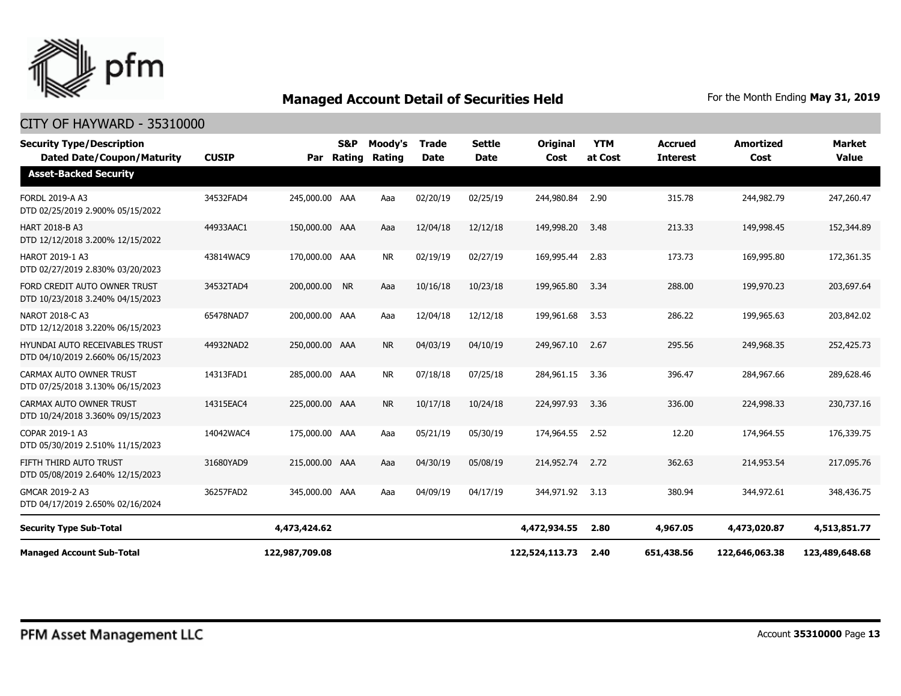

| <b>Security Type/Description</b><br><b>Dated Date/Coupon/Maturity</b> | <b>CUSIP</b> | Par            | <b>S&amp;P</b><br>Rating | Moody's<br>Rating | <b>Trade</b><br><b>Date</b> | <b>Settle</b><br><b>Date</b> | Original<br>Cost | <b>YTM</b><br>at Cost | <b>Accrued</b><br><b>Interest</b> | <b>Amortized</b><br>Cost | <b>Market</b><br><b>Value</b> |
|-----------------------------------------------------------------------|--------------|----------------|--------------------------|-------------------|-----------------------------|------------------------------|------------------|-----------------------|-----------------------------------|--------------------------|-------------------------------|
| <b>Asset-Backed Security</b>                                          |              |                |                          |                   |                             |                              |                  |                       |                                   |                          |                               |
| FORDL 2019-A A3<br>DTD 02/25/2019 2.900% 05/15/2022                   | 34532FAD4    | 245,000.00 AAA |                          | Aaa               | 02/20/19                    | 02/25/19                     | 244,980.84       | 2.90                  | 315.78                            | 244,982.79               | 247,260.47                    |
| <b>HART 2018-B A3</b><br>DTD 12/12/2018 3.200% 12/15/2022             | 44933AAC1    | 150,000.00 AAA |                          | Aaa               | 12/04/18                    | 12/12/18                     | 149,998.20       | 3.48                  | 213.33                            | 149,998.45               | 152,344.89                    |
| HAROT 2019-1 A3<br>DTD 02/27/2019 2.830% 03/20/2023                   | 43814WAC9    | 170,000.00 AAA |                          | <b>NR</b>         | 02/19/19                    | 02/27/19                     | 169,995.44       | 2.83                  | 173.73                            | 169,995.80               | 172,361.35                    |
| FORD CREDIT AUTO OWNER TRUST<br>DTD 10/23/2018 3.240% 04/15/2023      | 34532TAD4    | 200,000.00 NR  |                          | Aaa               | 10/16/18                    | 10/23/18                     | 199,965.80       | 3.34                  | 288.00                            | 199,970.23               | 203,697.64                    |
| <b>NAROT 2018-C A3</b><br>DTD 12/12/2018 3.220% 06/15/2023            | 65478NAD7    | 200,000.00 AAA |                          | Aaa               | 12/04/18                    | 12/12/18                     | 199,961.68       | 3.53                  | 286.22                            | 199,965.63               | 203,842.02                    |
| HYUNDAI AUTO RECEIVABLES TRUST<br>DTD 04/10/2019 2.660% 06/15/2023    | 44932NAD2    | 250,000.00 AAA |                          | <b>NR</b>         | 04/03/19                    | 04/10/19                     | 249,967.10       | 2.67                  | 295.56                            | 249,968.35               | 252,425.73                    |
| CARMAX AUTO OWNER TRUST<br>DTD 07/25/2018 3.130% 06/15/2023           | 14313FAD1    | 285,000.00 AAA |                          | <b>NR</b>         | 07/18/18                    | 07/25/18                     | 284,961.15       | 3.36                  | 396.47                            | 284,967.66               | 289,628.46                    |
| CARMAX AUTO OWNER TRUST<br>DTD 10/24/2018 3.360% 09/15/2023           | 14315EAC4    | 225,000.00 AAA |                          | <b>NR</b>         | 10/17/18                    | 10/24/18                     | 224,997.93       | 3.36                  | 336.00                            | 224,998.33               | 230,737.16                    |
| COPAR 2019-1 A3<br>DTD 05/30/2019 2.510% 11/15/2023                   | 14042WAC4    | 175,000.00 AAA |                          | Aaa               | 05/21/19                    | 05/30/19                     | 174,964.55       | 2.52                  | 12.20                             | 174,964.55               | 176,339.75                    |
| FIFTH THIRD AUTO TRUST<br>DTD 05/08/2019 2.640% 12/15/2023            | 31680YAD9    | 215,000.00 AAA |                          | Aaa               | 04/30/19                    | 05/08/19                     | 214,952.74       | 2.72                  | 362.63                            | 214,953.54               | 217,095.76                    |
| GMCAR 2019-2 A3<br>DTD 04/17/2019 2.650% 02/16/2024                   | 36257FAD2    | 345,000.00 AAA |                          | Aaa               | 04/09/19                    | 04/17/19                     | 344,971.92       | 3.13                  | 380.94                            | 344,972.61               | 348,436.75                    |
| <b>Security Type Sub-Total</b>                                        |              | 4,473,424.62   |                          |                   |                             |                              | 4,472,934.55     | 2.80                  | 4,967.05                          | 4,473,020.87             | 4,513,851.77                  |
| <b>Managed Account Sub-Total</b>                                      |              | 122,987,709.08 |                          |                   |                             |                              | 122,524,113.73   | 2.40                  | 651,438.56                        | 122,646,063.38           | 123,489,648.68                |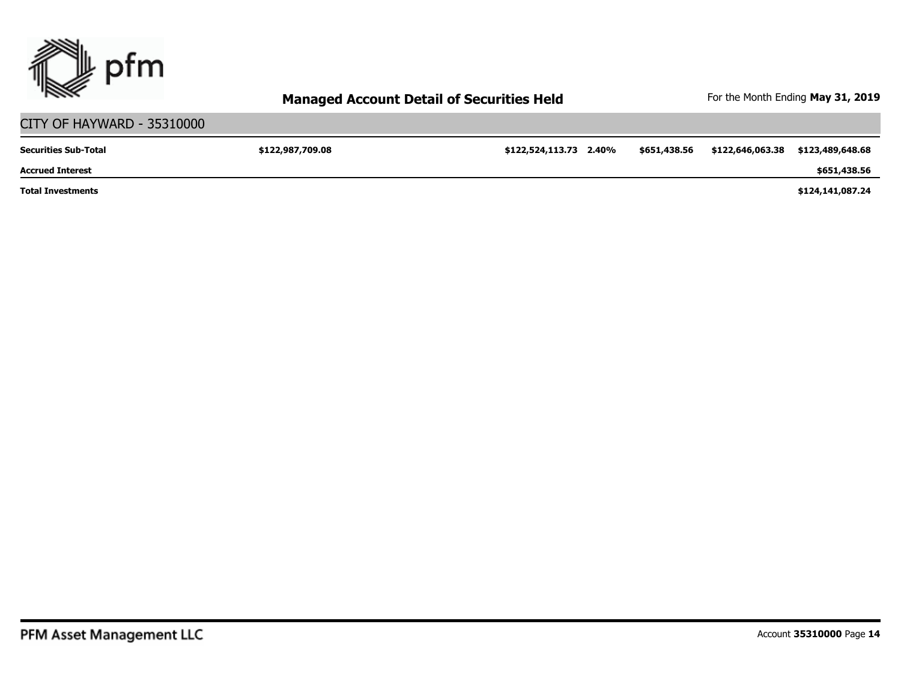

#### CITY OF HAYWARD - 35310000 **\$122,987,709.08 \$122,524,113.73 2.40% \$651,438.56 \$122,646,063.38 \$123,489,648.68 \$124,141,087.24 \$651,438.56 Total Investments Accrued Interest Securities Sub-Total**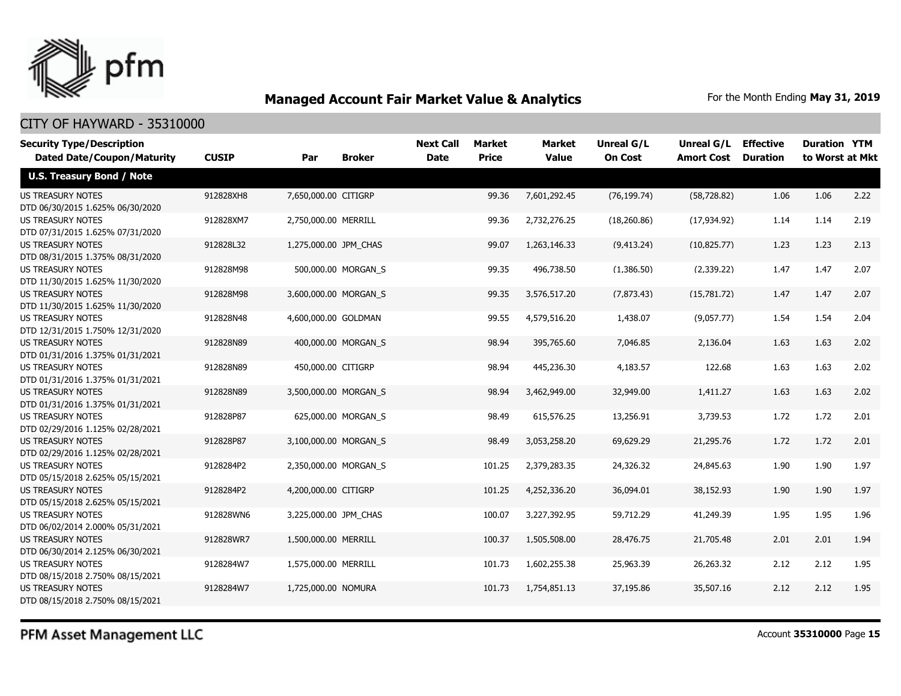

#### CITY OF HAYWARD - 35310000

| <b>Security Type/Description</b>  |              |                       |                       | <b>Next Call</b> | <b>Market</b> | Market       | <b>Unreal G/L</b> | Unreal G/L        | <b>Effective</b> | <b>Duration YTM</b> |      |
|-----------------------------------|--------------|-----------------------|-----------------------|------------------|---------------|--------------|-------------------|-------------------|------------------|---------------------|------|
| <b>Dated Date/Coupon/Maturity</b> | <b>CUSIP</b> | Par                   | <b>Broker</b>         | <b>Date</b>      | <b>Price</b>  | <b>Value</b> | <b>On Cost</b>    | <b>Amort Cost</b> | <b>Duration</b>  | to Worst at Mkt     |      |
| <b>U.S. Treasury Bond / Note</b>  |              |                       |                       |                  |               |              |                   |                   |                  |                     |      |
| <b>US TREASURY NOTES</b>          | 912828XH8    | 7,650,000.00 CITIGRP  |                       |                  | 99.36         | 7,601,292.45 | (76, 199.74)      | (58, 728.82)      | 1.06             | 1.06                | 2.22 |
| DTD 06/30/2015 1.625% 06/30/2020  |              |                       |                       |                  |               |              |                   |                   |                  |                     |      |
| <b>US TREASURY NOTES</b>          | 912828XM7    | 2,750,000.00 MERRILL  |                       |                  | 99.36         | 2,732,276.25 | (18, 260.86)      | (17, 934.92)      | 1.14             | 1.14                | 2.19 |
| DTD 07/31/2015 1.625% 07/31/2020  |              |                       |                       |                  |               |              |                   |                   |                  |                     |      |
| <b>US TREASURY NOTES</b>          | 912828L32    | 1,275,000.00 JPM_CHAS |                       |                  | 99.07         | 1,263,146.33 | (9,413.24)        | (10, 825.77)      | 1.23             | 1.23                | 2.13 |
| DTD 08/31/2015 1.375% 08/31/2020  |              |                       |                       |                  |               |              |                   |                   |                  |                     |      |
| <b>US TREASURY NOTES</b>          | 912828M98    |                       | 500,000.00 MORGAN_S   |                  | 99.35         | 496,738.50   | (1,386.50)        | (2,339.22)        | 1.47             | 1.47                | 2.07 |
| DTD 11/30/2015 1.625% 11/30/2020  |              |                       |                       |                  |               |              |                   |                   |                  |                     |      |
| <b>US TREASURY NOTES</b>          | 912828M98    |                       | 3,600,000.00 MORGAN S |                  | 99.35         | 3,576,517.20 | (7, 873.43)       | (15,781.72)       | 1.47             | 1.47                | 2.07 |
| DTD 11/30/2015 1.625% 11/30/2020  |              |                       |                       |                  |               |              |                   |                   |                  |                     |      |
| <b>US TREASURY NOTES</b>          | 912828N48    | 4,600,000.00 GOLDMAN  |                       |                  | 99.55         | 4,579,516.20 | 1,438.07          | (9,057.77)        | 1.54             | 1.54                | 2.04 |
| DTD 12/31/2015 1.750% 12/31/2020  |              |                       |                       |                  |               |              |                   |                   |                  |                     |      |
| <b>US TREASURY NOTES</b>          | 912828N89    |                       | 400,000.00 MORGAN S   |                  | 98.94         | 395,765.60   | 7,046.85          | 2,136.04          | 1.63             | 1.63                | 2.02 |
| DTD 01/31/2016 1.375% 01/31/2021  |              |                       |                       |                  |               |              |                   |                   |                  |                     |      |
| <b>US TREASURY NOTES</b>          | 912828N89    | 450,000.00 CITIGRP    |                       |                  | 98.94         | 445,236.30   | 4,183.57          | 122.68            | 1.63             | 1.63                | 2.02 |
| DTD 01/31/2016 1.375% 01/31/2021  |              |                       |                       |                  |               |              |                   |                   |                  |                     |      |
| <b>US TREASURY NOTES</b>          | 912828N89    |                       | 3,500,000.00 MORGAN_S |                  | 98.94         | 3,462,949.00 | 32,949.00         | 1,411.27          | 1.63             | 1.63                | 2.02 |
| DTD 01/31/2016 1.375% 01/31/2021  |              |                       |                       |                  |               |              |                   |                   |                  |                     |      |
| <b>US TREASURY NOTES</b>          | 912828P87    |                       | 625,000.00 MORGAN_S   |                  | 98.49         | 615,576.25   | 13,256.91         | 3,739.53          | 1.72             | 1.72                | 2.01 |
| DTD 02/29/2016 1.125% 02/28/2021  |              |                       |                       |                  |               |              |                   |                   |                  |                     |      |
| <b>US TREASURY NOTES</b>          | 912828P87    |                       | 3,100,000.00 MORGAN_S |                  | 98.49         | 3,053,258.20 | 69,629.29         | 21,295.76         | 1.72             | 1.72                | 2.01 |
| DTD 02/29/2016 1.125% 02/28/2021  |              |                       |                       |                  |               |              |                   |                   |                  |                     |      |
| <b>US TREASURY NOTES</b>          | 9128284P2    |                       | 2,350,000.00 MORGAN S |                  | 101.25        | 2,379,283.35 | 24,326.32         | 24,845.63         | 1.90             | 1.90                | 1.97 |
| DTD 05/15/2018 2.625% 05/15/2021  |              |                       |                       |                  |               |              |                   |                   |                  |                     |      |
| <b>US TREASURY NOTES</b>          | 9128284P2    | 4,200,000.00 CITIGRP  |                       |                  | 101.25        | 4,252,336.20 | 36,094.01         | 38,152.93         | 1.90             | 1.90                | 1.97 |
| DTD 05/15/2018 2.625% 05/15/2021  |              |                       |                       |                  |               |              |                   |                   |                  |                     |      |
| <b>US TREASURY NOTES</b>          | 912828WN6    | 3,225,000.00 JPM_CHAS |                       |                  | 100.07        | 3,227,392.95 | 59,712.29         | 41,249.39         | 1.95             | 1.95                | 1.96 |
| DTD 06/02/2014 2.000% 05/31/2021  |              |                       |                       |                  |               |              |                   |                   |                  |                     |      |
| <b>US TREASURY NOTES</b>          | 912828WR7    | 1,500,000.00 MERRILL  |                       |                  | 100.37        | 1,505,508.00 | 28,476.75         | 21,705.48         | 2.01             | 2.01                | 1.94 |
| DTD 06/30/2014 2.125% 06/30/2021  |              |                       |                       |                  |               |              |                   |                   |                  |                     |      |
| <b>US TREASURY NOTES</b>          | 9128284W7    | 1,575,000.00 MERRILL  |                       |                  | 101.73        | 1,602,255.38 | 25,963.39         | 26,263.32         | 2.12             | 2.12                | 1.95 |
| DTD 08/15/2018 2.750% 08/15/2021  |              |                       |                       |                  |               |              |                   |                   | 2.12             | 2.12                | 1.95 |
| <b>US TREASURY NOTES</b>          | 9128284W7    | 1,725,000.00 NOMURA   |                       |                  | 101.73        | 1,754,851.13 | 37,195.86         | 35,507.16         |                  |                     |      |
| DTD 08/15/2018 2.750% 08/15/2021  |              |                       |                       |                  |               |              |                   |                   |                  |                     |      |

PFM Asset Management LLC

Account **35310000** Page **15**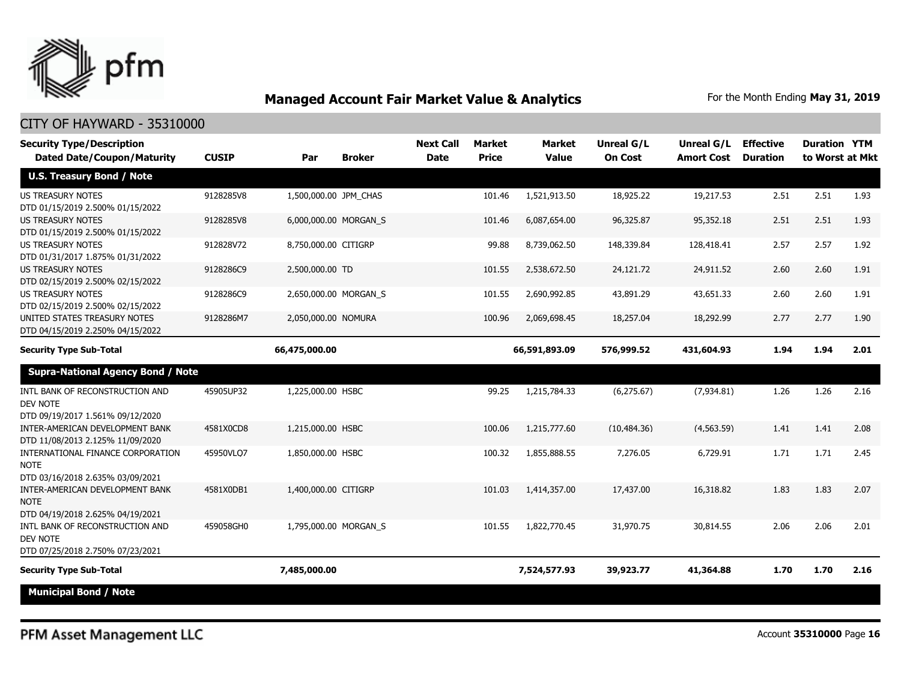

#### CITY OF HAYWARD - 35310000

| <b>Security Type/Description</b><br><b>Dated Date/Coupon/Maturity</b>                                               | <b>CUSIP</b> | Par                   | <b>Broker</b> | <b>Next Call</b><br><b>Date</b> | <b>Market</b><br><b>Price</b> | <b>Market</b><br><b>Value</b> | <b>Unreal G/L</b><br><b>On Cost</b> | <b>Unreal G/L Effective</b><br><b>Amort Cost</b> | <b>Duration</b> | <b>Duration YTM</b><br>to Worst at Mkt |      |
|---------------------------------------------------------------------------------------------------------------------|--------------|-----------------------|---------------|---------------------------------|-------------------------------|-------------------------------|-------------------------------------|--------------------------------------------------|-----------------|----------------------------------------|------|
| <b>U.S. Treasury Bond / Note</b>                                                                                    |              |                       |               |                                 |                               |                               |                                     |                                                  |                 |                                        |      |
| <b>US TREASURY NOTES</b><br>DTD 01/15/2019 2.500% 01/15/2022                                                        | 9128285V8    | 1,500,000.00 JPM_CHAS |               |                                 | 101.46                        | 1,521,913.50                  | 18,925.22                           | 19,217.53                                        | 2.51            | 2.51                                   | 1.93 |
| <b>US TREASURY NOTES</b><br>DTD 01/15/2019 2.500% 01/15/2022                                                        | 9128285V8    | 6,000,000.00 MORGAN_S |               |                                 | 101.46                        | 6,087,654.00                  | 96,325.87                           | 95,352.18                                        | 2.51            | 2.51                                   | 1.93 |
| <b>US TREASURY NOTES</b><br>DTD 01/31/2017 1.875% 01/31/2022                                                        | 912828V72    | 8,750,000.00 CITIGRP  |               |                                 | 99.88                         | 8,739,062.50                  | 148,339.84                          | 128,418.41                                       | 2.57            | 2.57                                   | 1.92 |
| <b>US TREASURY NOTES</b><br>DTD 02/15/2019 2.500% 02/15/2022                                                        | 9128286C9    | 2,500,000.00 TD       |               |                                 | 101.55                        | 2,538,672.50                  | 24,121.72                           | 24,911.52                                        | 2.60            | 2.60                                   | 1.91 |
| <b>US TREASURY NOTES</b><br>DTD 02/15/2019 2.500% 02/15/2022                                                        | 9128286C9    | 2,650,000.00 MORGAN_S |               |                                 | 101.55                        | 2,690,992.85                  | 43,891.29                           | 43,651.33                                        | 2.60            | 2.60                                   | 1.91 |
| UNITED STATES TREASURY NOTES<br>DTD 04/15/2019 2.250% 04/15/2022                                                    | 9128286M7    | 2,050,000.00 NOMURA   |               |                                 | 100.96                        | 2,069,698.45                  | 18,257.04                           | 18,292.99                                        | 2.77            | 2.77                                   | 1.90 |
| <b>Security Type Sub-Total</b>                                                                                      |              | 66,475,000.00         |               |                                 |                               | 66,591,893.09                 | 576,999.52                          | 431,604.93                                       | 1.94            | 1.94                                   | 2.01 |
| <b>Supra-National Agency Bond / Note</b>                                                                            |              |                       |               |                                 |                               |                               |                                     |                                                  |                 |                                        |      |
| INTL BANK OF RECONSTRUCTION AND<br>DEV NOTE<br>DTD 09/19/2017 1.561% 09/12/2020                                     | 45905UP32    | 1,225,000.00 HSBC     |               |                                 | 99.25                         | 1,215,784.33                  | (6, 275.67)                         | (7,934.81)                                       | 1.26            | 1.26                                   | 2.16 |
| INTER-AMERICAN DEVELOPMENT BANK<br>DTD 11/08/2013 2.125% 11/09/2020                                                 | 4581X0CD8    | 1,215,000.00 HSBC     |               |                                 | 100.06                        | 1,215,777,60                  | (10.484.36)                         | (4, 563.59)                                      | 1.41            | 1.41                                   | 2.08 |
| INTERNATIONAL FINANCE CORPORATION<br><b>NOTE</b><br>DTD 03/16/2018 2.635% 03/09/2021                                | 45950VLQ7    | 1,850,000.00 HSBC     |               |                                 | 100.32                        | 1,855,888.55                  | 7,276.05                            | 6,729.91                                         | 1.71            | 1.71                                   | 2.45 |
| INTER-AMERICAN DEVELOPMENT BANK<br><b>NOTE</b>                                                                      | 4581X0DB1    | 1,400,000.00 CITIGRP  |               |                                 | 101.03                        | 1,414,357,00                  | 17,437.00                           | 16,318.82                                        | 1.83            | 1.83                                   | 2.07 |
| DTD 04/19/2018 2.625% 04/19/2021<br>INTL BANK OF RECONSTRUCTION AND<br>DEV NOTE<br>DTD 07/25/2018 2.750% 07/23/2021 | 459058GH0    | 1,795,000.00 MORGAN S |               |                                 | 101.55                        | 1,822,770,45                  | 31,970.75                           | 30.814.55                                        | 2.06            | 2.06                                   | 2.01 |
| <b>Security Type Sub-Total</b>                                                                                      |              | 7,485,000.00          |               |                                 |                               | 7,524,577.93                  | 39,923.77                           | 41,364.88                                        | 1.70            | 1.70                                   | 2.16 |
| <b>Municipal Bond / Note</b>                                                                                        |              |                       |               |                                 |                               |                               |                                     |                                                  |                 |                                        |      |

PFM Asset Management LLC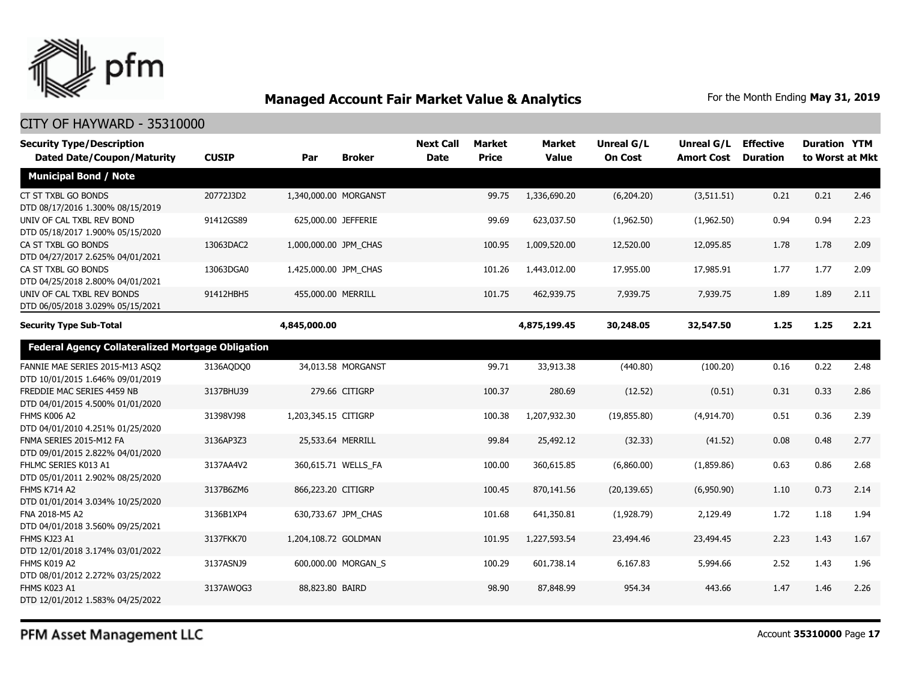

| <b>Security Type/Description</b><br><b>Dated Date/Coupon/Maturity</b> | <b>CUSIP</b> | Par                   | <b>Broker</b>       | <b>Next Call</b><br><b>Date</b> | <b>Market</b><br><b>Price</b> | <b>Market</b><br><b>Value</b> | Unreal G/L<br><b>On Cost</b> | Unreal G/L<br><b>Amort Cost</b> | <b>Effective</b><br><b>Duration</b> | <b>Duration YTM</b><br>to Worst at Mkt |      |
|-----------------------------------------------------------------------|--------------|-----------------------|---------------------|---------------------------------|-------------------------------|-------------------------------|------------------------------|---------------------------------|-------------------------------------|----------------------------------------|------|
| <b>Municipal Bond / Note</b>                                          |              |                       |                     |                                 |                               |                               |                              |                                 |                                     |                                        |      |
| CT ST TXBL GO BONDS<br>DTD 08/17/2016 1.300% 08/15/2019               | 20772J3D2    | 1,340,000.00 MORGANST |                     |                                 | 99.75                         | 1,336,690.20                  | (6,204.20)                   | (3,511.51)                      | 0.21                                | 0.21                                   | 2.46 |
| UNIV OF CAL TXBL REV BOND<br>DTD 05/18/2017 1.900% 05/15/2020         | 91412GS89    | 625,000.00 JEFFERIE   |                     |                                 | 99.69                         | 623,037.50                    | (1,962.50)                   | (1,962.50)                      | 0.94                                | 0.94                                   | 2.23 |
| CA ST TXBL GO BONDS<br>DTD 04/27/2017 2.625% 04/01/2021               | 13063DAC2    | 1,000,000.00 JPM_CHAS |                     |                                 | 100.95                        | 1,009,520.00                  | 12,520.00                    | 12,095.85                       | 1.78                                | 1.78                                   | 2.09 |
| CA ST TXBL GO BONDS<br>DTD 04/25/2018 2.800% 04/01/2021               | 13063DGA0    | 1,425,000.00 JPM_CHAS |                     |                                 | 101.26                        | 1,443,012.00                  | 17,955.00                    | 17,985.91                       | 1.77                                | 1.77                                   | 2.09 |
| UNIV OF CAL TXBL REV BONDS<br>DTD 06/05/2018 3.029% 05/15/2021        | 91412HBH5    | 455,000.00 MERRILL    |                     |                                 | 101.75                        | 462,939.75                    | 7,939.75                     | 7,939.75                        | 1.89                                | 1.89                                   | 2.11 |
| <b>Security Type Sub-Total</b>                                        |              | 4,845,000.00          |                     |                                 |                               | 4,875,199.45                  | 30,248.05                    | 32,547.50                       | 1.25                                | 1.25                                   | 2.21 |
| Federal Agency Collateralized Mortgage Obligation                     |              |                       |                     |                                 |                               |                               |                              |                                 |                                     |                                        |      |
| FANNIE MAE SERIES 2015-M13 ASQ2<br>DTD 10/01/2015 1.646% 09/01/2019   | 3136AODO0    |                       | 34,013.58 MORGANST  |                                 | 99.71                         | 33,913.38                     | (440.80)                     | (100.20)                        | 0.16                                | 0.22                                   | 2.48 |
| FREDDIE MAC SERIES 4459 NB<br>DTD 04/01/2015 4.500% 01/01/2020        | 3137BHU39    |                       | 279.66 CITIGRP      |                                 | 100.37                        | 280.69                        | (12.52)                      | (0.51)                          | 0.31                                | 0.33                                   | 2.86 |
| FHMS K006 A2<br>DTD 04/01/2010 4.251% 01/25/2020                      | 31398VJ98    | 1,203,345.15 CITIGRP  |                     |                                 | 100.38                        | 1,207,932.30                  | (19, 855.80)                 | (4,914.70)                      | 0.51                                | 0.36                                   | 2.39 |
| FNMA SERIES 2015-M12 FA<br>DTD 09/01/2015 2.822% 04/01/2020           | 3136AP3Z3    | 25,533.64 MERRILL     |                     |                                 | 99.84                         | 25,492.12                     | (32.33)                      | (41.52)                         | 0.08                                | 0.48                                   | 2.77 |
| FHLMC SERIES K013 A1<br>DTD 05/01/2011 2.902% 08/25/2020              | 3137AA4V2    |                       | 360,615.71 WELLS FA |                                 | 100.00                        | 360,615.85                    | (6,860.00)                   | (1,859.86)                      | 0.63                                | 0.86                                   | 2.68 |
| <b>FHMS K714 A2</b><br>DTD 01/01/2014 3.034% 10/25/2020               | 3137B6ZM6    | 866,223.20 CITIGRP    |                     |                                 | 100.45                        | 870,141.56                    | (20, 139.65)                 | (6,950.90)                      | 1.10                                | 0.73                                   | 2.14 |
| FNA 2018-M5 A2<br>DTD 04/01/2018 3.560% 09/25/2021                    | 3136B1XP4    |                       | 630,733.67 JPM CHAS |                                 | 101.68                        | 641,350.81                    | (1,928.79)                   | 2,129.49                        | 1.72                                | 1.18                                   | 1.94 |
| FHMS KJ23 A1<br>DTD 12/01/2018 3.174% 03/01/2022                      | 3137FKK70    | 1,204,108.72 GOLDMAN  |                     |                                 | 101.95                        | 1,227,593.54                  | 23,494.46                    | 23,494.45                       | 2.23                                | 1.43                                   | 1.67 |
| FHMS K019 A2<br>DTD 08/01/2012 2.272% 03/25/2022                      | 3137ASNJ9    |                       | 600,000.00 MORGAN S |                                 | 100.29                        | 601,738.14                    | 6,167.83                     | 5,994.66                        | 2.52                                | 1.43                                   | 1.96 |
| <b>FHMS K023 A1</b><br>DTD 12/01/2012 1.583% 04/25/2022               | 3137AWQG3    | 88,823.80 BAIRD       |                     |                                 | 98.90                         | 87,848.99                     | 954.34                       | 443.66                          | 1.47                                | 1.46                                   | 2.26 |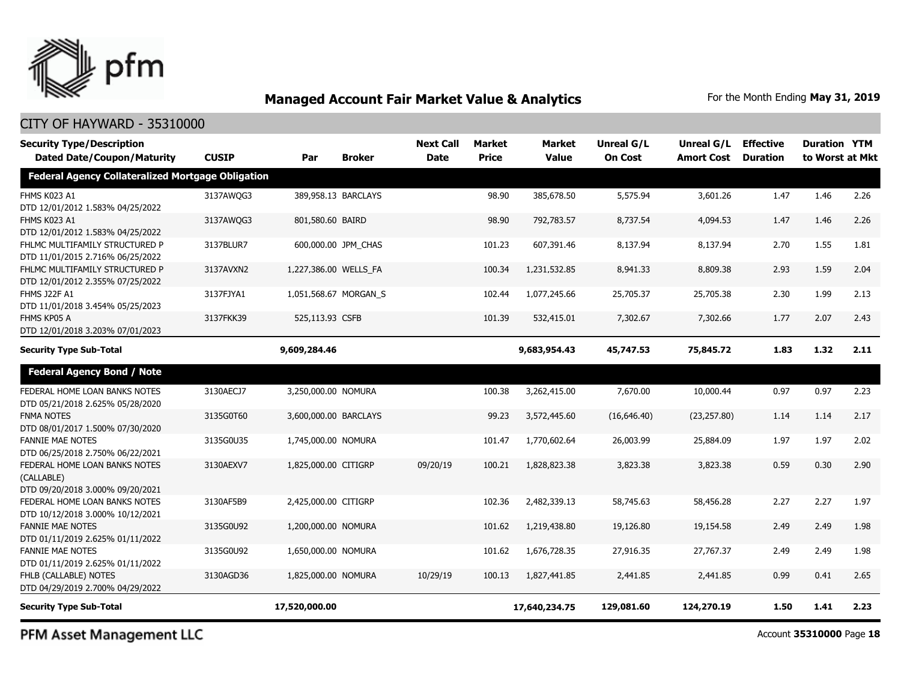

#### CITY OF HAYWARD - 35310000

| <b>Security Type/Description</b><br><b>Dated Date/Coupon/Maturity</b>           | <b>CUSIP</b> | Par                   | <b>Broker</b>       | <b>Next Call</b><br><b>Date</b> | Market<br><b>Price</b> | Market<br><b>Value</b> | <b>Unreal G/L</b><br><b>On Cost</b> | Unreal G/L<br><b>Amort Cost</b> | <b>Effective</b><br><b>Duration</b> | <b>Duration YTM</b><br>to Worst at Mkt |      |
|---------------------------------------------------------------------------------|--------------|-----------------------|---------------------|---------------------------------|------------------------|------------------------|-------------------------------------|---------------------------------|-------------------------------------|----------------------------------------|------|
| <b>Federal Agency Collateralized Mortgage Obligation</b>                        |              |                       |                     |                                 |                        |                        |                                     |                                 |                                     |                                        |      |
| FHMS K023 A1<br>DTD 12/01/2012 1.583% 04/25/2022                                | 3137AWQG3    |                       | 389,958.13 BARCLAYS |                                 | 98.90                  | 385,678.50             | 5,575.94                            | 3,601.26                        | 1.47                                | 1.46                                   | 2.26 |
| FHMS K023 A1<br>DTD 12/01/2012 1.583% 04/25/2022                                | 3137AWQG3    | 801,580.60 BAIRD      |                     |                                 | 98.90                  | 792,783.57             | 8,737.54                            | 4,094.53                        | 1.47                                | 1.46                                   | 2.26 |
| FHLMC MULTIFAMILY STRUCTURED P<br>DTD 11/01/2015 2.716% 06/25/2022              | 3137BLUR7    |                       | 600,000.00 JPM_CHAS |                                 | 101.23                 | 607,391.46             | 8,137.94                            | 8,137.94                        | 2.70                                | 1.55                                   | 1.81 |
| FHLMC MULTIFAMILY STRUCTURED P<br>DTD 12/01/2012 2.355% 07/25/2022              | 3137AVXN2    | 1,227,386.00 WELLS_FA |                     |                                 | 100.34                 | 1,231,532.85           | 8,941.33                            | 8,809.38                        | 2.93                                | 1.59                                   | 2.04 |
| <b>FHMS J22F A1</b><br>DTD 11/01/2018 3.454% 05/25/2023                         | 3137FJYA1    | 1,051,568.67 MORGAN S |                     |                                 | 102.44                 | 1,077,245.66           | 25,705.37                           | 25,705.38                       | 2.30                                | 1.99                                   | 2.13 |
| FHMS KP05 A<br>DTD 12/01/2018 3.203% 07/01/2023                                 | 3137FKK39    | 525,113.93 CSFB       |                     |                                 | 101.39                 | 532,415.01             | 7,302.67                            | 7,302.66                        | 1.77                                | 2.07                                   | 2.43 |
| <b>Security Type Sub-Total</b>                                                  |              | 9,609,284.46          |                     |                                 |                        | 9,683,954.43           | 45,747.53                           | 75,845.72                       | 1.83                                | 1.32                                   | 2.11 |
| <b>Federal Agency Bond / Note</b>                                               |              |                       |                     |                                 |                        |                        |                                     |                                 |                                     |                                        |      |
| FEDERAL HOME LOAN BANKS NOTES<br>DTD 05/21/2018 2.625% 05/28/2020               | 3130AECJ7    | 3,250,000.00 NOMURA   |                     |                                 | 100.38                 | 3,262,415.00           | 7,670.00                            | 10,000.44                       | 0.97                                | 0.97                                   | 2.23 |
| <b>FNMA NOTES</b><br>DTD 08/01/2017 1.500% 07/30/2020                           | 3135G0T60    | 3,600,000.00 BARCLAYS |                     |                                 | 99.23                  | 3,572,445.60           | (16,646.40)                         | (23, 257.80)                    | 1.14                                | 1.14                                   | 2.17 |
| <b>FANNIE MAE NOTES</b><br>DTD 06/25/2018 2.750% 06/22/2021                     | 3135G0U35    | 1,745,000.00 NOMURA   |                     |                                 | 101.47                 | 1,770,602.64           | 26,003.99                           | 25,884.09                       | 1.97                                | 1.97                                   | 2.02 |
| FEDERAL HOME LOAN BANKS NOTES<br>(CALLABLE)<br>DTD 09/20/2018 3.000% 09/20/2021 | 3130AEXV7    | 1,825,000.00 CITIGRP  |                     | 09/20/19                        | 100.21                 | 1,828,823,38           | 3,823,38                            | 3,823,38                        | 0.59                                | 0.30                                   | 2.90 |
| FEDERAL HOME LOAN BANKS NOTES<br>DTD 10/12/2018 3.000% 10/12/2021               | 3130AF5B9    | 2,425,000.00 CITIGRP  |                     |                                 | 102.36                 | 2,482,339.13           | 58,745.63                           | 58,456.28                       | 2.27                                | 2.27                                   | 1.97 |
| <b>FANNIE MAE NOTES</b><br>DTD 01/11/2019 2.625% 01/11/2022                     | 3135G0U92    | 1,200,000.00 NOMURA   |                     |                                 | 101.62                 | 1,219,438.80           | 19,126.80                           | 19,154.58                       | 2.49                                | 2.49                                   | 1.98 |
| <b>FANNIE MAE NOTES</b><br>DTD 01/11/2019 2.625% 01/11/2022                     | 3135G0U92    | 1,650,000.00 NOMURA   |                     |                                 | 101.62                 | 1,676,728.35           | 27,916.35                           | 27,767.37                       | 2.49                                | 2.49                                   | 1.98 |
| FHLB (CALLABLE) NOTES<br>DTD 04/29/2019 2.700% 04/29/2022                       | 3130AGD36    | 1,825,000.00 NOMURA   |                     | 10/29/19                        | 100.13                 | 1,827,441.85           | 2,441.85                            | 2,441.85                        | 0.99                                | 0.41                                   | 2.65 |
| <b>Security Type Sub-Total</b>                                                  |              | 17,520,000.00         |                     |                                 |                        | 17,640,234.75          | 129,081.60                          | 124,270.19                      | 1.50                                | 1.41                                   | 2.23 |

PFM Asset Management LLC

Account **35310000** Page **18**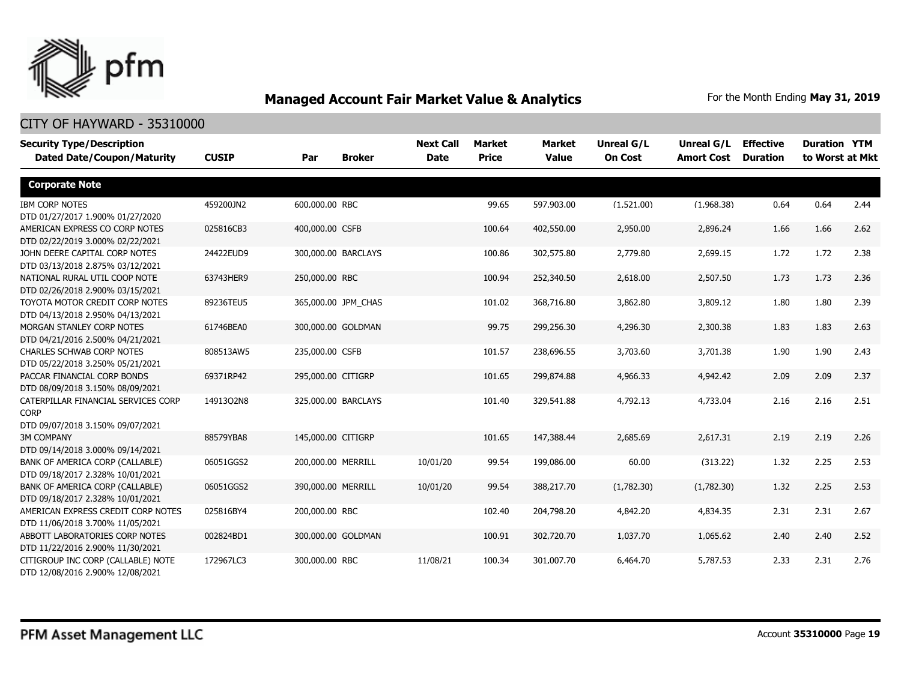

| <b>Security Type/Description</b><br><b>Dated Date/Coupon/Maturity</b> | <b>CUSIP</b> | <b>Broker</b><br>Par | <b>Next Call</b><br><b>Date</b> | <b>Market</b><br><b>Price</b> | Market<br><b>Value</b> | <b>Unreal G/L</b><br><b>On Cost</b> | Unreal G/L<br><b>Amort Cost</b> | <b>Effective</b><br><b>Duration</b> | <b>Duration YTM</b><br>to Worst at Mkt |      |
|-----------------------------------------------------------------------|--------------|----------------------|---------------------------------|-------------------------------|------------------------|-------------------------------------|---------------------------------|-------------------------------------|----------------------------------------|------|
| <b>Corporate Note</b>                                                 |              |                      |                                 |                               |                        |                                     |                                 |                                     |                                        |      |
| <b>IBM CORP NOTES</b>                                                 | 459200JN2    | 600,000.00 RBC       |                                 | 99.65                         | 597,903.00             | (1,521.00)                          | (1,968.38)                      | 0.64                                | 0.64                                   | 2.44 |
| DTD 01/27/2017 1.900% 01/27/2020                                      |              |                      |                                 |                               |                        |                                     |                                 |                                     |                                        |      |
| AMERICAN EXPRESS CO CORP NOTES                                        | 025816CB3    | 400,000.00 CSFB      |                                 | 100.64                        | 402,550.00             | 2,950.00                            | 2,896.24                        | 1.66                                | 1.66                                   | 2.62 |
| DTD 02/22/2019 3.000% 02/22/2021                                      |              |                      |                                 |                               |                        |                                     |                                 |                                     |                                        |      |
| JOHN DEERE CAPITAL CORP NOTES                                         | 24422EUD9    | 300,000.00 BARCLAYS  |                                 | 100.86                        | 302,575.80             | 2,779.80                            | 2,699.15                        | 1.72                                | 1.72                                   | 2.38 |
| DTD 03/13/2018 2.875% 03/12/2021                                      |              |                      |                                 |                               |                        |                                     |                                 |                                     |                                        |      |
| NATIONAL RURAL UTIL COOP NOTE                                         | 63743HER9    | 250,000.00 RBC       |                                 | 100.94                        | 252,340.50             | 2,618.00                            | 2,507.50                        | 1.73                                | 1.73                                   | 2.36 |
| DTD 02/26/2018 2.900% 03/15/2021                                      |              |                      |                                 |                               |                        |                                     |                                 |                                     |                                        |      |
| TOYOTA MOTOR CREDIT CORP NOTES                                        | 89236TEU5    | 365,000.00 JPM_CHAS  |                                 | 101.02                        | 368,716.80             | 3,862.80                            | 3,809.12                        | 1.80                                | 1.80                                   | 2.39 |
| DTD 04/13/2018 2.950% 04/13/2021                                      |              |                      |                                 |                               |                        |                                     |                                 |                                     |                                        |      |
| MORGAN STANLEY CORP NOTES                                             | 61746BEA0    | 300,000.00 GOLDMAN   |                                 | 99.75                         | 299,256.30             | 4,296.30                            | 2,300.38                        | 1.83                                | 1.83                                   | 2.63 |
| DTD 04/21/2016 2.500% 04/21/2021                                      |              |                      |                                 |                               |                        |                                     |                                 |                                     |                                        |      |
| CHARLES SCHWAB CORP NOTES                                             | 808513AW5    | 235,000.00 CSFB      |                                 | 101.57                        | 238,696.55             | 3,703.60                            | 3,701.38                        | 1.90                                | 1.90                                   | 2.43 |
| DTD 05/22/2018 3.250% 05/21/2021                                      |              |                      |                                 |                               |                        |                                     |                                 |                                     |                                        |      |
| PACCAR FINANCIAL CORP BONDS                                           | 69371RP42    | 295,000.00 CITIGRP   |                                 | 101.65                        | 299,874.88             | 4,966.33                            | 4,942.42                        | 2.09                                | 2.09                                   | 2.37 |
| DTD 08/09/2018 3.150% 08/09/2021                                      |              |                      |                                 |                               |                        |                                     |                                 |                                     |                                        |      |
| CATERPILLAR FINANCIAL SERVICES CORP                                   | 1491302N8    | 325,000.00 BARCLAYS  |                                 | 101.40                        | 329,541.88             | 4,792.13                            | 4,733.04                        | 2.16                                | 2.16                                   | 2.51 |
| <b>CORP</b>                                                           |              |                      |                                 |                               |                        |                                     |                                 |                                     |                                        |      |
| DTD 09/07/2018 3.150% 09/07/2021                                      |              |                      |                                 |                               |                        |                                     |                                 |                                     |                                        |      |
| <b>3M COMPANY</b>                                                     | 88579YBA8    | 145,000.00 CITIGRP   |                                 | 101.65                        | 147,388.44             | 2,685.69                            | 2,617.31                        | 2.19                                | 2.19                                   | 2.26 |
| DTD 09/14/2018 3.000% 09/14/2021                                      |              |                      |                                 |                               |                        |                                     |                                 |                                     |                                        |      |
| BANK OF AMERICA CORP (CALLABLE)                                       | 06051GGS2    | 200,000.00 MERRILL   | 10/01/20                        | 99.54                         | 199,086.00             | 60.00                               | (313.22)                        | 1.32                                | 2.25                                   | 2.53 |
| DTD 09/18/2017 2.328% 10/01/2021                                      |              |                      |                                 |                               |                        |                                     |                                 |                                     |                                        |      |
| BANK OF AMERICA CORP (CALLABLE)                                       | 06051GGS2    | 390,000.00 MERRILL   | 10/01/20                        | 99.54                         | 388,217.70             | (1,782.30)                          | (1,782.30)                      | 1.32                                | 2.25                                   | 2.53 |
| DTD 09/18/2017 2.328% 10/01/2021                                      |              |                      |                                 |                               |                        |                                     |                                 |                                     |                                        |      |
| AMERICAN EXPRESS CREDIT CORP NOTES                                    | 025816BY4    | 200,000.00 RBC       |                                 | 102.40                        | 204,798.20             | 4,842.20                            | 4,834.35                        | 2.31                                | 2.31                                   | 2.67 |
| DTD 11/06/2018 3.700% 11/05/2021                                      |              |                      |                                 |                               |                        |                                     |                                 |                                     |                                        |      |
| ABBOTT LABORATORIES CORP NOTES                                        | 002824BD1    | 300,000.00 GOLDMAN   |                                 | 100.91                        | 302,720.70             | 1,037.70                            | 1,065.62                        | 2.40                                | 2.40                                   | 2.52 |
| DTD 11/22/2016 2.900% 11/30/2021                                      |              |                      |                                 |                               |                        |                                     |                                 |                                     |                                        |      |
| CITIGROUP INC CORP (CALLABLE) NOTE                                    | 172967LC3    | 300,000.00 RBC       | 11/08/21                        | 100.34                        | 301,007.70             | 6,464.70                            | 5,787.53                        | 2.33                                | 2.31                                   | 2.76 |
| DTD 12/08/2016 2.900% 12/08/2021                                      |              |                      |                                 |                               |                        |                                     |                                 |                                     |                                        |      |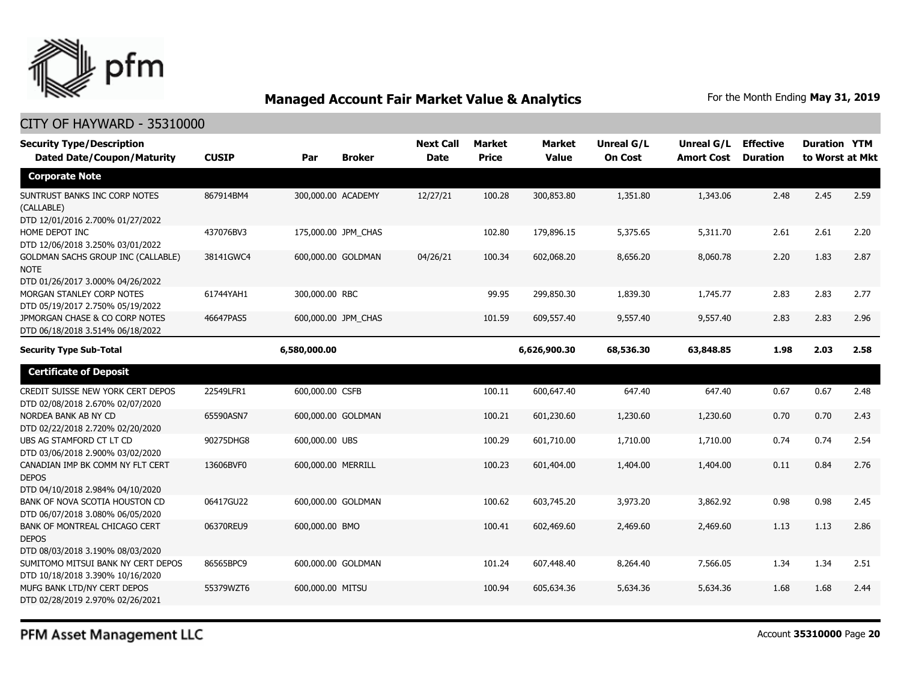

| <b>Security Type/Description</b><br><b>Dated Date/Coupon/Maturity</b>                        | <b>CUSIP</b> | Par                | <b>Broker</b>       | <b>Next Call</b><br><b>Date</b> | <b>Market</b><br><b>Price</b> | <b>Market</b><br><b>Value</b> | Unreal G/L<br><b>On Cost</b> | Unreal G/L<br><b>Amort Cost</b> | <b>Effective</b><br><b>Duration</b> | <b>Duration YTM</b><br>to Worst at Mkt |      |
|----------------------------------------------------------------------------------------------|--------------|--------------------|---------------------|---------------------------------|-------------------------------|-------------------------------|------------------------------|---------------------------------|-------------------------------------|----------------------------------------|------|
| <b>Corporate Note</b>                                                                        |              |                    |                     |                                 |                               |                               |                              |                                 |                                     |                                        |      |
| SUNTRUST BANKS INC CORP NOTES<br>(CALLABLE)<br>DTD 12/01/2016 2.700% 01/27/2022              | 867914BM4    |                    | 300,000.00 ACADEMY  | 12/27/21                        | 100.28                        | 300,853.80                    | 1,351.80                     | 1,343.06                        | 2.48                                | 2.45                                   | 2.59 |
| HOME DEPOT INC<br>DTD 12/06/2018 3.250% 03/01/2022                                           | 437076BV3    |                    | 175,000.00 JPM_CHAS |                                 | 102.80                        | 179,896.15                    | 5,375.65                     | 5,311.70                        | 2.61                                | 2.61                                   | 2.20 |
| <b>GOLDMAN SACHS GROUP INC (CALLABLE)</b><br><b>NOTE</b><br>DTD 01/26/2017 3.000% 04/26/2022 | 38141GWC4    |                    | 600,000.00 GOLDMAN  | 04/26/21                        | 100.34                        | 602,068.20                    | 8,656.20                     | 8,060.78                        | 2.20                                | 1.83                                   | 2.87 |
| MORGAN STANLEY CORP NOTES<br>DTD 05/19/2017 2.750% 05/19/2022                                | 61744YAH1    | 300,000.00 RBC     |                     |                                 | 99.95                         | 299,850.30                    | 1,839.30                     | 1,745.77                        | 2.83                                | 2.83                                   | 2.77 |
| JPMORGAN CHASE & CO CORP NOTES<br>DTD 06/18/2018 3.514% 06/18/2022                           | 46647PAS5    |                    | 600,000.00 JPM CHAS |                                 | 101.59                        | 609,557.40                    | 9,557.40                     | 9,557.40                        | 2.83                                | 2.83                                   | 2.96 |
| <b>Security Type Sub-Total</b>                                                               |              | 6,580,000.00       |                     |                                 |                               | 6,626,900.30                  | 68,536.30                    | 63,848.85                       | 1.98                                | 2.03                                   | 2.58 |
| <b>Certificate of Deposit</b>                                                                |              |                    |                     |                                 |                               |                               |                              |                                 |                                     |                                        |      |
| CREDIT SUISSE NEW YORK CERT DEPOS<br>DTD 02/08/2018 2.670% 02/07/2020                        | 22549LFR1    | 600,000.00 CSFB    |                     |                                 | 100.11                        | 600,647.40                    | 647.40                       | 647.40                          | 0.67                                | 0.67                                   | 2.48 |
| NORDEA BANK AB NY CD<br>DTD 02/22/2018 2.720% 02/20/2020                                     | 65590ASN7    |                    | 600,000.00 GOLDMAN  |                                 | 100.21                        | 601,230.60                    | 1,230.60                     | 1,230.60                        | 0.70                                | 0.70                                   | 2.43 |
| UBS AG STAMFORD CT LT CD<br>DTD 03/06/2018 2.900% 03/02/2020                                 | 90275DHG8    | 600,000.00 UBS     |                     |                                 | 100.29                        | 601,710.00                    | 1,710.00                     | 1,710.00                        | 0.74                                | 0.74                                   | 2.54 |
| CANADIAN IMP BK COMM NY FLT CERT<br><b>DEPOS</b><br>DTD 04/10/2018 2.984% 04/10/2020         | 13606BVF0    | 600,000.00 MERRILL |                     |                                 | 100.23                        | 601,404.00                    | 1,404.00                     | 1,404.00                        | 0.11                                | 0.84                                   | 2.76 |
| BANK OF NOVA SCOTIA HOUSTON CD<br>DTD 06/07/2018 3.080% 06/05/2020                           | 06417GU22    |                    | 600,000.00 GOLDMAN  |                                 | 100.62                        | 603,745.20                    | 3,973.20                     | 3,862.92                        | 0.98                                | 0.98                                   | 2.45 |
| BANK OF MONTREAL CHICAGO CERT<br><b>DEPOS</b><br>DTD 08/03/2018 3.190% 08/03/2020            | 06370REU9    | 600,000.00 BMO     |                     |                                 | 100.41                        | 602,469.60                    | 2,469.60                     | 2,469.60                        | 1.13                                | 1.13                                   | 2.86 |
| SUMITOMO MITSUI BANK NY CERT DEPOS<br>DTD 10/18/2018 3.390% 10/16/2020                       | 86565BPC9    |                    | 600,000.00 GOLDMAN  |                                 | 101.24                        | 607,448.40                    | 8,264.40                     | 7,566.05                        | 1.34                                | 1.34                                   | 2.51 |
| MUFG BANK LTD/NY CERT DEPOS<br>DTD 02/28/2019 2.970% 02/26/2021                              | 55379WZT6    | 600,000.00 MITSU   |                     |                                 | 100.94                        | 605,634.36                    | 5,634.36                     | 5,634.36                        | 1.68                                | 1.68                                   | 2.44 |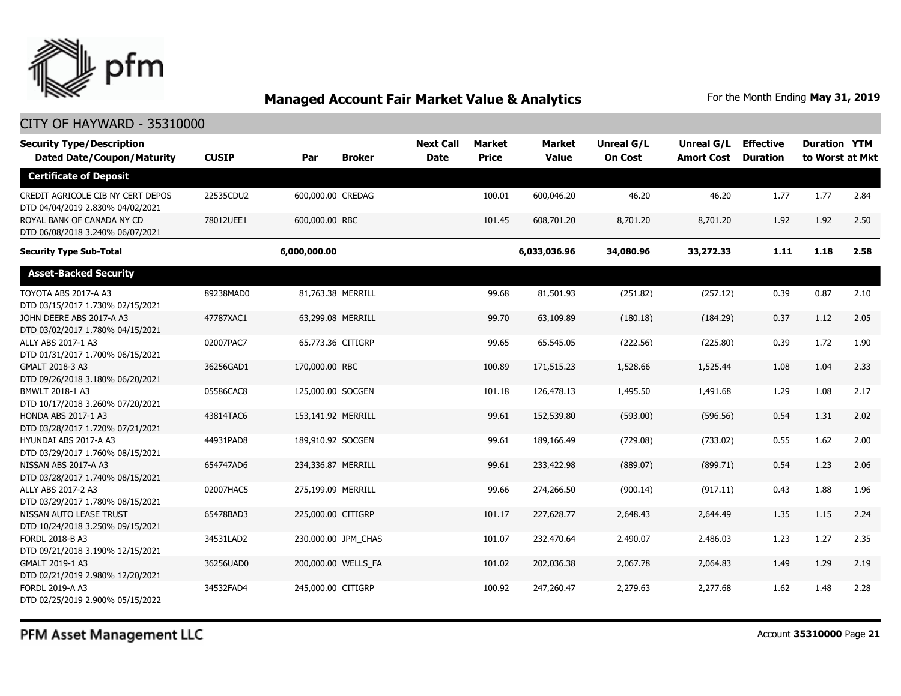

#### CITY OF HAYWARD - 35310000

| <b>Security Type/Description</b><br><b>Dated Date/Coupon/Maturity</b> | <b>CUSIP</b> | Par                 | <b>Next Call</b><br><b>Broker</b><br><b>Date</b> | Market<br><b>Price</b> | <b>Market</b><br><b>Value</b> | <b>Unreal G/L</b><br><b>On Cost</b> | Unreal G/L<br><b>Amort Cost</b> | <b>Effective</b><br><b>Duration</b> | <b>Duration YTM</b><br>to Worst at Mkt |      |
|-----------------------------------------------------------------------|--------------|---------------------|--------------------------------------------------|------------------------|-------------------------------|-------------------------------------|---------------------------------|-------------------------------------|----------------------------------------|------|
| <b>Certificate of Deposit</b>                                         |              |                     |                                                  |                        |                               |                                     |                                 |                                     |                                        |      |
| CREDIT AGRICOLE CIB NY CERT DEPOS<br>DTD 04/04/2019 2.830% 04/02/2021 | 22535CDU2    | 600,000.00 CREDAG   |                                                  | 100.01                 | 600,046.20                    | 46.20                               | 46.20                           | 1.77                                | 1.77                                   | 2.84 |
| ROYAL BANK OF CANADA NY CD<br>DTD 06/08/2018 3.240% 06/07/2021        | 78012UEE1    | 600,000.00 RBC      |                                                  | 101.45                 | 608,701.20                    | 8,701.20                            | 8,701.20                        | 1.92                                | 1.92                                   | 2.50 |
| <b>Security Type Sub-Total</b>                                        |              | 6,000,000.00        |                                                  |                        | 6,033,036.96                  | 34,080.96                           | 33,272.33                       | 1.11                                | 1.18                                   | 2.58 |
| <b>Asset-Backed Security</b>                                          |              |                     |                                                  |                        |                               |                                     |                                 |                                     |                                        |      |
| TOYOTA ABS 2017-A A3<br>DTD 03/15/2017 1.730% 02/15/2021              | 89238MAD0    | 81,763.38 MERRILL   |                                                  | 99.68                  | 81,501.93                     | (251.82)                            | (257.12)                        | 0.39                                | 0.87                                   | 2.10 |
| JOHN DEERE ABS 2017-A A3<br>DTD 03/02/2017 1.780% 04/15/2021          | 47787XAC1    | 63,299.08 MERRILL   |                                                  | 99.70                  | 63,109.89                     | (180.18)                            | (184.29)                        | 0.37                                | 1.12                                   | 2.05 |
| ALLY ABS 2017-1 A3<br>DTD 01/31/2017 1.700% 06/15/2021                | 02007PAC7    | 65,773.36 CITIGRP   |                                                  | 99.65                  | 65,545.05                     | (222.56)                            | (225.80)                        | 0.39                                | 1.72                                   | 1.90 |
| GMALT 2018-3 A3<br>DTD 09/26/2018 3.180% 06/20/2021                   | 36256GAD1    | 170,000.00 RBC      |                                                  | 100.89                 | 171,515.23                    | 1,528.66                            | 1,525.44                        | 1.08                                | 1.04                                   | 2.33 |
| BMWLT 2018-1 A3<br>DTD 10/17/2018 3.260% 07/20/2021                   | 05586CAC8    | 125,000.00 SOCGEN   |                                                  | 101.18                 | 126,478.13                    | 1,495.50                            | 1,491.68                        | 1.29                                | 1.08                                   | 2.17 |
| HONDA ABS 2017-1 A3<br>DTD 03/28/2017 1.720% 07/21/2021               | 43814TAC6    | 153,141.92 MERRILL  |                                                  | 99.61                  | 152,539.80                    | (593.00)                            | (596.56)                        | 0.54                                | 1.31                                   | 2.02 |
| HYUNDAI ABS 2017-A A3<br>DTD 03/29/2017 1.760% 08/15/2021             | 44931PAD8    | 189,910.92 SOCGEN   |                                                  | 99.61                  | 189,166.49                    | (729.08)                            | (733.02)                        | 0.55                                | 1.62                                   | 2.00 |
| NISSAN ABS 2017-A A3<br>DTD 03/28/2017 1.740% 08/15/2021              | 654747AD6    | 234,336.87 MERRILL  |                                                  | 99.61                  | 233,422.98                    | (889.07)                            | (899.71)                        | 0.54                                | 1.23                                   | 2.06 |
| ALLY ABS 2017-2 A3<br>DTD 03/29/2017 1.780% 08/15/2021                | 02007HAC5    | 275,199.09 MERRILL  |                                                  | 99.66                  | 274,266.50                    | (900.14)                            | (917.11)                        | 0.43                                | 1.88                                   | 1.96 |
| NISSAN AUTO LEASE TRUST<br>DTD 10/24/2018 3.250% 09/15/2021           | 65478BAD3    | 225,000.00 CITIGRP  |                                                  | 101.17                 | 227,628.77                    | 2,648.43                            | 2,644.49                        | 1.35                                | 1.15                                   | 2.24 |
| FORDL 2018-B A3<br>DTD 09/21/2018 3.190% 12/15/2021                   | 34531LAD2    | 230,000.00 JPM_CHAS |                                                  | 101.07                 | 232,470.64                    | 2,490.07                            | 2,486.03                        | 1.23                                | 1.27                                   | 2.35 |
| GMALT 2019-1 A3<br>DTD 02/21/2019 2.980% 12/20/2021                   | 36256UAD0    | 200,000.00 WELLS_FA |                                                  | 101.02                 | 202,036.38                    | 2,067.78                            | 2,064.83                        | 1.49                                | 1.29                                   | 2.19 |
| FORDL 2019-A A3<br>DTD 02/25/2019 2.900% 05/15/2022                   | 34532FAD4    | 245,000.00 CITIGRP  |                                                  | 100.92                 | 247,260.47                    | 2,279.63                            | 2,277.68                        | 1.62                                | 1.48                                   | 2.28 |

PFM Asset Management LLC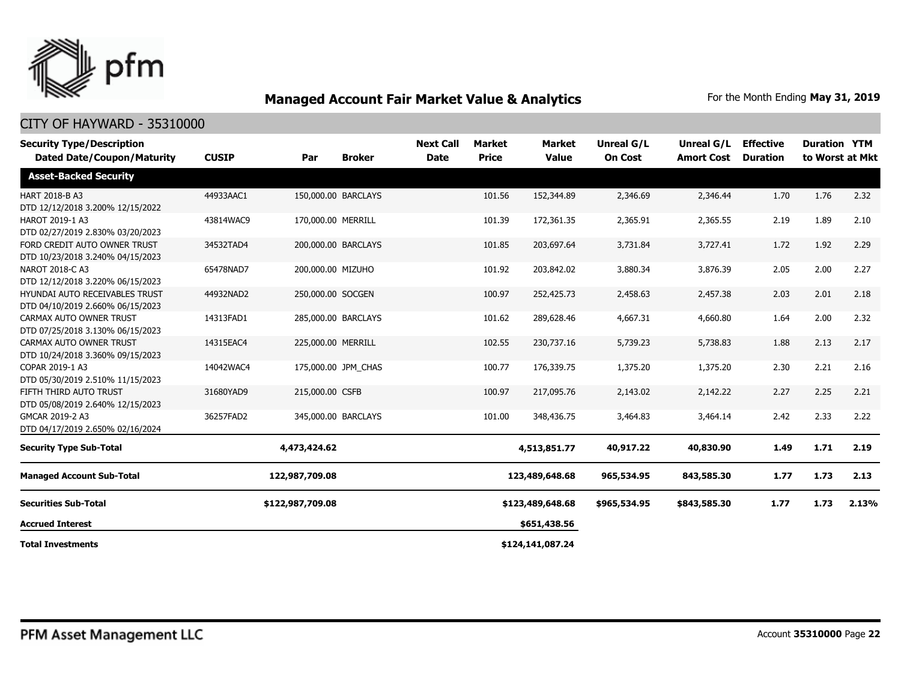

| <b>Security Type/Description</b><br><b>Dated Date/Coupon/Maturity</b> | <b>CUSIP</b> | Par                | <b>Broker</b>       | <b>Next Call</b><br><b>Date</b> | Market<br><b>Price</b> | <b>Market</b><br><b>Value</b> | Unreal G/L<br><b>On Cost</b> | Unreal G/L<br><b>Amort Cost</b> | <b>Effective</b><br><b>Duration</b> | <b>Duration YTM</b> | to Worst at Mkt |
|-----------------------------------------------------------------------|--------------|--------------------|---------------------|---------------------------------|------------------------|-------------------------------|------------------------------|---------------------------------|-------------------------------------|---------------------|-----------------|
| <b>Asset-Backed Security</b>                                          |              |                    |                     |                                 |                        |                               |                              |                                 |                                     |                     |                 |
| HART 2018-B A3<br>DTD 12/12/2018 3.200% 12/15/2022                    | 44933AAC1    |                    | 150,000.00 BARCLAYS |                                 | 101.56                 | 152,344.89                    | 2,346.69                     | 2,346.44                        | 1.70                                | 1.76                | 2.32            |
| HAROT 2019-1 A3<br>DTD 02/27/2019 2.830% 03/20/2023                   | 43814WAC9    | 170,000.00 MERRILL |                     |                                 | 101.39                 | 172,361.35                    | 2,365.91                     | 2,365.55                        | 2.19                                | 1.89                | 2.10            |
| FORD CREDIT AUTO OWNER TRUST<br>DTD 10/23/2018 3.240% 04/15/2023      | 34532TAD4    |                    | 200,000.00 BARCLAYS |                                 | 101.85                 | 203,697.64                    | 3,731.84                     | 3,727.41                        | 1.72                                | 1.92                | 2.29            |
| NAROT 2018-C A3<br>DTD 12/12/2018 3.220% 06/15/2023                   | 65478NAD7    | 200,000.00 MIZUHO  |                     |                                 | 101.92                 | 203,842.02                    | 3,880.34                     | 3,876.39                        | 2.05                                | 2.00                | 2.27            |
| HYUNDAI AUTO RECEIVABLES TRUST<br>DTD 04/10/2019 2.660% 06/15/2023    | 44932NAD2    | 250,000.00 SOCGEN  |                     |                                 | 100.97                 | 252,425.73                    | 2,458.63                     | 2,457.38                        | 2.03                                | 2.01                | 2.18            |
| CARMAX AUTO OWNER TRUST<br>DTD 07/25/2018 3.130% 06/15/2023           | 14313FAD1    |                    | 285,000.00 BARCLAYS |                                 | 101.62                 | 289,628.46                    | 4,667.31                     | 4,660.80                        | 1.64                                | 2.00                | 2.32            |
| CARMAX AUTO OWNER TRUST<br>DTD 10/24/2018 3.360% 09/15/2023           | 14315EAC4    | 225,000.00 MERRILL |                     |                                 | 102.55                 | 230,737.16                    | 5,739.23                     | 5,738.83                        | 1.88                                | 2.13                | 2.17            |
| COPAR 2019-1 A3<br>DTD 05/30/2019 2.510% 11/15/2023                   | 14042WAC4    |                    | 175,000.00 JPM CHAS |                                 | 100.77                 | 176,339.75                    | 1,375.20                     | 1,375.20                        | 2.30                                | 2.21                | 2.16            |
| FIFTH THIRD AUTO TRUST<br>DTD 05/08/2019 2.640% 12/15/2023            | 31680YAD9    | 215,000.00 CSFB    |                     |                                 | 100.97                 | 217,095.76                    | 2,143.02                     | 2,142.22                        | 2.27                                | 2.25                | 2.21            |
| GMCAR 2019-2 A3<br>DTD 04/17/2019 2.650% 02/16/2024                   | 36257FAD2    |                    | 345,000.00 BARCLAYS |                                 | 101.00                 | 348,436.75                    | 3,464.83                     | 3,464.14                        | 2.42                                | 2.33                | 2.22            |
| <b>Security Type Sub-Total</b>                                        |              | 4,473,424.62       |                     |                                 |                        | 4,513,851.77                  | 40,917.22                    | 40,830.90                       | 1.49                                | 1.71                | 2.19            |
| <b>Managed Account Sub-Total</b>                                      |              | 122,987,709.08     |                     |                                 |                        | 123,489,648.68                | 965,534.95                   | 843,585.30                      | 1.77                                | 1.73                | 2.13            |
| <b>Securities Sub-Total</b>                                           |              | \$122,987,709.08   |                     |                                 |                        | \$123,489,648.68              | \$965,534.95                 | \$843,585.30                    | 1.77                                | 1.73                | 2.13%           |
| <b>Accrued Interest</b>                                               |              |                    |                     |                                 |                        | \$651,438.56                  |                              |                                 |                                     |                     |                 |
| <b>Total Investments</b>                                              |              |                    |                     |                                 |                        | \$124,141,087.24              |                              |                                 |                                     |                     |                 |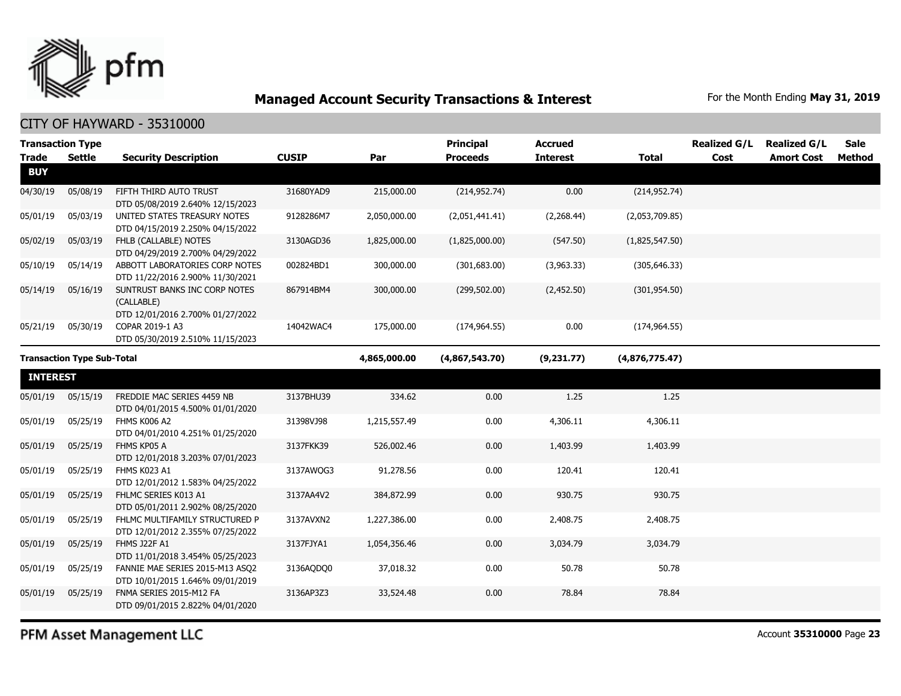

|                                   | <b>Transaction Type</b> |                                                                                 |              |                | <b>Principal</b> | <b>Accrued</b>  |                | <b>Realized G/L</b> | <b>Realized G/L</b> | <b>Sale</b>   |
|-----------------------------------|-------------------------|---------------------------------------------------------------------------------|--------------|----------------|------------------|-----------------|----------------|---------------------|---------------------|---------------|
| <b>Trade</b>                      | <b>Settle</b>           | <b>Security Description</b>                                                     | <b>CUSIP</b> | Par            | <b>Proceeds</b>  | <b>Interest</b> | <b>Total</b>   | Cost                | <b>Amort Cost</b>   | <b>Method</b> |
| <b>BUY</b>                        |                         |                                                                                 |              |                |                  |                 |                |                     |                     |               |
| 04/30/19                          | 05/08/19                | FIFTH THIRD AUTO TRUST<br>DTD 05/08/2019 2.640% 12/15/2023                      | 31680YAD9    | 215,000.00     | (214, 952.74)    | 0.00            | (214, 952.74)  |                     |                     |               |
| 05/01/19                          | 05/03/19                | UNITED STATES TREASURY NOTES<br>DTD 04/15/2019 2.250% 04/15/2022                | 9128286M7    | 2,050,000.00   | (2,051,441.41)   | (2,268.44)      | (2,053,709.85) |                     |                     |               |
| 05/02/19                          | 05/03/19                | FHLB (CALLABLE) NOTES<br>DTD 04/29/2019 2.700% 04/29/2022                       | 3130AGD36    | 1,825,000.00   | (1,825,000.00)   | (547.50)        | (1,825,547.50) |                     |                     |               |
| 05/10/19                          | 05/14/19                | ABBOTT LABORATORIES CORP NOTES<br>DTD 11/22/2016 2.900% 11/30/2021              | 002824BD1    | 300,000.00     | (301, 683.00)    | (3,963.33)      | (305, 646.33)  |                     |                     |               |
| 05/14/19                          | 05/16/19                | SUNTRUST BANKS INC CORP NOTES<br>(CALLABLE)<br>DTD 12/01/2016 2.700% 01/27/2022 | 867914BM4    | 300,000.00     | (299, 502.00)    | (2,452.50)      | (301, 954.50)  |                     |                     |               |
| 05/21/19                          | 05/30/19                | COPAR 2019-1 A3<br>DTD 05/30/2019 2.510% 11/15/2023                             | 14042WAC4    | 175,000.00     | (174, 964.55)    | 0.00            | (174, 964.55)  |                     |                     |               |
| <b>Transaction Type Sub-Total</b> |                         |                                                                                 | 4,865,000.00 | (4,867,543.70) | (9,231.77)       | (4,876,775.47)  |                |                     |                     |               |
| <b>INTEREST</b>                   |                         |                                                                                 |              |                |                  |                 |                |                     |                     |               |
| 05/01/19                          | 05/15/19                | FREDDIE MAC SERIES 4459 NB<br>DTD 04/01/2015 4.500% 01/01/2020                  | 3137BHU39    | 334.62         | 0.00             | 1.25            | 1.25           |                     |                     |               |
| 05/01/19                          | 05/25/19                | FHMS K006 A2<br>DTD 04/01/2010 4.251% 01/25/2020                                | 31398VJ98    | 1,215,557.49   | 0.00             | 4,306.11        | 4,306.11       |                     |                     |               |
| 05/01/19                          | 05/25/19                | FHMS KP05 A<br>DTD 12/01/2018 3.203% 07/01/2023                                 | 3137FKK39    | 526,002.46     | 0.00             | 1,403.99        | 1,403.99       |                     |                     |               |
| 05/01/19                          | 05/25/19                | FHMS K023 A1<br>DTD 12/01/2012 1.583% 04/25/2022                                | 3137AWQG3    | 91,278.56      | 0.00             | 120.41          | 120.41         |                     |                     |               |
| 05/01/19                          | 05/25/19                | FHLMC SERIES K013 A1<br>DTD 05/01/2011 2.902% 08/25/2020                        | 3137AA4V2    | 384,872.99     | 0.00             | 930.75          | 930.75         |                     |                     |               |
| 05/01/19                          | 05/25/19                | FHLMC MULTIFAMILY STRUCTURED P<br>DTD 12/01/2012 2.355% 07/25/2022              | 3137AVXN2    | 1,227,386.00   | 0.00             | 2,408.75        | 2,408.75       |                     |                     |               |
| 05/01/19                          | 05/25/19                | FHMS J22F A1<br>DTD 11/01/2018 3.454% 05/25/2023                                | 3137FJYA1    | 1,054,356.46   | 0.00             | 3,034.79        | 3,034.79       |                     |                     |               |
| 05/01/19                          | 05/25/19                | FANNIE MAE SERIES 2015-M13 ASO2<br>DTD 10/01/2015 1.646% 09/01/2019             | 3136AODO0    | 37,018.32      | 0.00             | 50.78           | 50.78          |                     |                     |               |
| 05/01/19                          | 05/25/19                | FNMA SERIES 2015-M12 FA<br>DTD 09/01/2015 2.822% 04/01/2020                     | 3136AP3Z3    | 33,524.48      | 0.00             | 78.84           | 78.84          |                     |                     |               |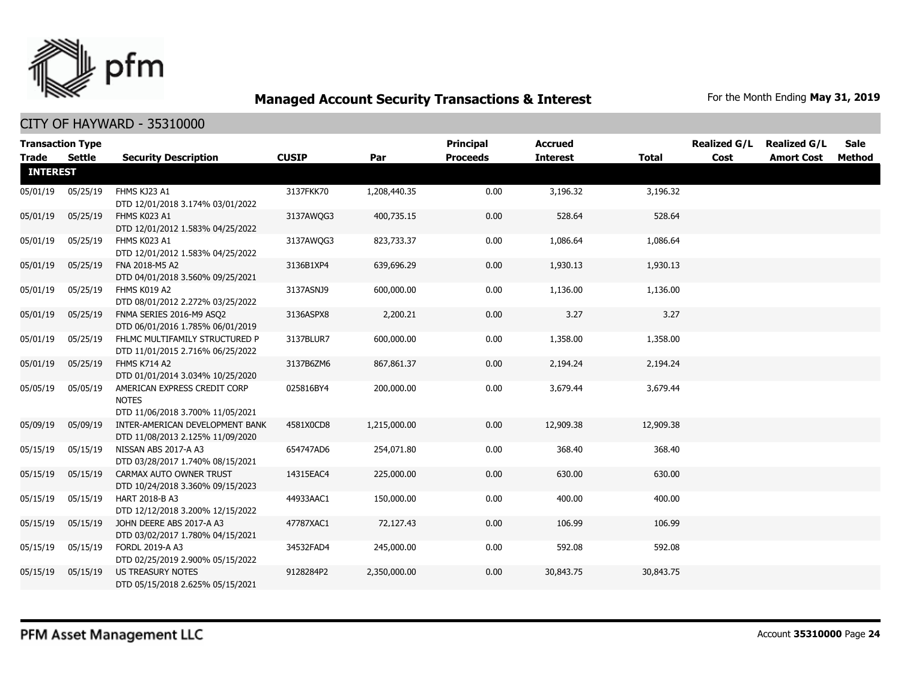

| <b>Trade</b>    | <b>Transaction Type</b><br>Settle | <b>Security Description</b>                                                      | <b>CUSIP</b> | Par          | Principal<br><b>Proceeds</b> | <b>Accrued</b><br><b>Interest</b> | <b>Total</b> | <b>Realized G/L</b><br>Cost | <b>Realized G/L</b><br><b>Amort Cost</b> | <b>Sale</b><br>Method |
|-----------------|-----------------------------------|----------------------------------------------------------------------------------|--------------|--------------|------------------------------|-----------------------------------|--------------|-----------------------------|------------------------------------------|-----------------------|
| <b>INTEREST</b> |                                   |                                                                                  |              |              |                              |                                   |              |                             |                                          |                       |
| 05/01/19        | 05/25/19                          | FHMS KJ23 A1<br>DTD 12/01/2018 3.174% 03/01/2022                                 | 3137FKK70    | 1,208,440.35 | 0.00                         | 3,196.32                          | 3,196.32     |                             |                                          |                       |
| 05/01/19        | 05/25/19                          | FHMS K023 A1<br>DTD 12/01/2012 1.583% 04/25/2022                                 | 3137AWOG3    | 400,735.15   | 0.00                         | 528.64                            | 528.64       |                             |                                          |                       |
| 05/01/19        | 05/25/19                          | FHMS K023 A1<br>DTD 12/01/2012 1.583% 04/25/2022                                 | 3137AWOG3    | 823,733.37   | 0.00                         | 1,086.64                          | 1,086.64     |                             |                                          |                       |
| 05/01/19        | 05/25/19                          | FNA 2018-M5 A2<br>DTD 04/01/2018 3.560% 09/25/2021                               | 3136B1XP4    | 639,696.29   | 0.00                         | 1,930.13                          | 1,930.13     |                             |                                          |                       |
| 05/01/19        | 05/25/19                          | FHMS K019 A2<br>DTD 08/01/2012 2.272% 03/25/2022                                 | 3137ASNJ9    | 600,000.00   | 0.00                         | 1,136.00                          | 1,136.00     |                             |                                          |                       |
| 05/01/19        | 05/25/19                          | FNMA SERIES 2016-M9 ASQ2<br>DTD 06/01/2016 1.785% 06/01/2019                     | 3136ASPX8    | 2,200.21     | 0.00                         | 3.27                              | 3.27         |                             |                                          |                       |
| 05/01/19        | 05/25/19                          | FHLMC MULTIFAMILY STRUCTURED P<br>DTD 11/01/2015 2.716% 06/25/2022               | 3137BLUR7    | 600,000.00   | 0.00                         | 1,358.00                          | 1,358.00     |                             |                                          |                       |
| 05/01/19        | 05/25/19                          | FHMS K714 A2<br>DTD 01/01/2014 3.034% 10/25/2020                                 | 3137B6ZM6    | 867,861.37   | 0.00                         | 2,194.24                          | 2,194.24     |                             |                                          |                       |
| 05/05/19        | 05/05/19                          | AMERICAN EXPRESS CREDIT CORP<br><b>NOTES</b><br>DTD 11/06/2018 3.700% 11/05/2021 | 025816BY4    | 200,000.00   | 0.00                         | 3,679.44                          | 3,679.44     |                             |                                          |                       |
| 05/09/19        | 05/09/19                          | INTER-AMERICAN DEVELOPMENT BANK<br>DTD 11/08/2013 2.125% 11/09/2020              | 4581X0CD8    | 1,215,000.00 | 0.00                         | 12,909.38                         | 12,909.38    |                             |                                          |                       |
| 05/15/19        | 05/15/19                          | NISSAN ABS 2017-A A3<br>DTD 03/28/2017 1.740% 08/15/2021                         | 654747AD6    | 254,071.80   | 0.00                         | 368.40                            | 368.40       |                             |                                          |                       |
| 05/15/19        | 05/15/19                          | CARMAX AUTO OWNER TRUST<br>DTD 10/24/2018 3.360% 09/15/2023                      | 14315EAC4    | 225,000.00   | 0.00                         | 630.00                            | 630.00       |                             |                                          |                       |
| 05/15/19        | 05/15/19                          | <b>HART 2018-B A3</b><br>DTD 12/12/2018 3.200% 12/15/2022                        | 44933AAC1    | 150,000.00   | 0.00                         | 400.00                            | 400.00       |                             |                                          |                       |
| 05/15/19        | 05/15/19                          | JOHN DEERE ABS 2017-A A3<br>DTD 03/02/2017 1.780% 04/15/2021                     | 47787XAC1    | 72,127.43    | 0.00                         | 106.99                            | 106.99       |                             |                                          |                       |
| 05/15/19        | 05/15/19                          | FORDL 2019-A A3<br>DTD 02/25/2019 2.900% 05/15/2022                              | 34532FAD4    | 245,000.00   | 0.00                         | 592.08                            | 592.08       |                             |                                          |                       |
| 05/15/19        | 05/15/19                          | <b>US TREASURY NOTES</b><br>DTD 05/15/2018 2.625% 05/15/2021                     | 9128284P2    | 2,350,000.00 | 0.00                         | 30,843.75                         | 30,843.75    |                             |                                          |                       |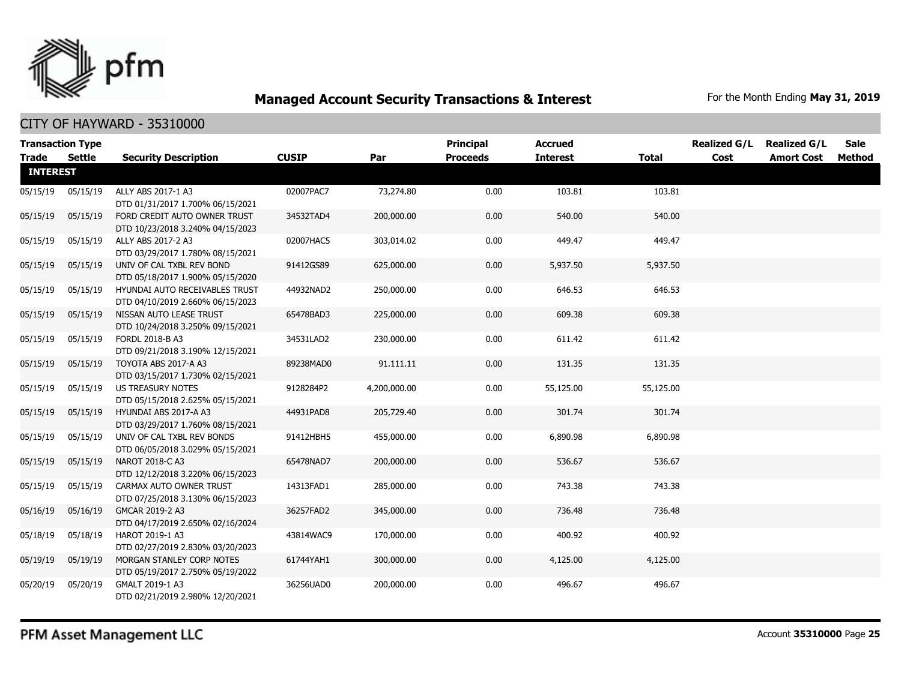

|                 | <b>Transaction Type</b> |                                                                |              |              | <b>Principal</b> | <b>Accrued</b>  |              | <b>Realized G/L</b> | <b>Realized G/L</b> | <b>Sale</b> |
|-----------------|-------------------------|----------------------------------------------------------------|--------------|--------------|------------------|-----------------|--------------|---------------------|---------------------|-------------|
| <b>Trade</b>    | Settle                  | <b>Security Description</b>                                    | <b>CUSIP</b> | Par          | <b>Proceeds</b>  | <b>Interest</b> | <b>Total</b> | Cost                | <b>Amort Cost</b>   | Method      |
| <b>INTEREST</b> |                         |                                                                |              |              |                  |                 |              |                     |                     |             |
| 05/15/19        | 05/15/19                | ALLY ABS 2017-1 A3                                             | 02007PAC7    | 73,274.80    | 0.00             | 103.81          | 103.81       |                     |                     |             |
|                 |                         | DTD 01/31/2017 1.700% 06/15/2021                               |              |              |                  |                 |              |                     |                     |             |
| 05/15/19        | 05/15/19                | FORD CREDIT AUTO OWNER TRUST                                   | 34532TAD4    | 200,000.00   | 0.00             | 540.00          | 540.00       |                     |                     |             |
|                 |                         | DTD 10/23/2018 3.240% 04/15/2023                               |              |              |                  |                 |              |                     |                     |             |
| 05/15/19        | 05/15/19                | ALLY ABS 2017-2 A3                                             | 02007HAC5    | 303,014.02   | 0.00             | 449.47          | 449.47       |                     |                     |             |
|                 |                         | DTD 03/29/2017 1.780% 08/15/2021                               |              |              |                  |                 |              |                     |                     |             |
| 05/15/19        | 05/15/19                | UNIV OF CAL TXBL REV BOND                                      | 91412GS89    | 625,000.00   | 0.00             | 5,937.50        | 5,937.50     |                     |                     |             |
|                 |                         | DTD 05/18/2017 1.900% 05/15/2020                               |              |              |                  |                 |              |                     |                     |             |
| 05/15/19        | 05/15/19                | HYUNDAI AUTO RECEIVABLES TRUST                                 | 44932NAD2    | 250,000.00   | 0.00             | 646.53          | 646.53       |                     |                     |             |
|                 |                         | DTD 04/10/2019 2.660% 06/15/2023                               |              |              |                  |                 |              |                     |                     |             |
| 05/15/19        | 05/15/19                | NISSAN AUTO LEASE TRUST                                        | 65478BAD3    | 225,000.00   | 0.00             | 609.38          | 609.38       |                     |                     |             |
|                 |                         | DTD 10/24/2018 3.250% 09/15/2021                               |              |              |                  |                 |              |                     |                     |             |
| 05/15/19        | 05/15/19                | FORDL 2018-B A3                                                | 34531LAD2    | 230,000.00   | 0.00             | 611.42          | 611.42       |                     |                     |             |
|                 |                         | DTD 09/21/2018 3.190% 12/15/2021                               |              |              |                  |                 |              |                     |                     |             |
| 05/15/19        | 05/15/19                | TOYOTA ABS 2017-A A3                                           | 89238MAD0    | 91,111.11    | 0.00             | 131.35          | 131.35       |                     |                     |             |
|                 |                         | DTD 03/15/2017 1.730% 02/15/2021                               |              |              |                  |                 |              |                     |                     |             |
| 05/15/19        | 05/15/19                | <b>US TREASURY NOTES</b>                                       | 9128284P2    | 4,200,000.00 | 0.00             | 55,125.00       | 55,125.00    |                     |                     |             |
|                 |                         | DTD 05/15/2018 2.625% 05/15/2021                               |              |              |                  |                 |              |                     |                     |             |
| 05/15/19        | 05/15/19                | HYUNDAI ABS 2017-A A3                                          | 44931PAD8    | 205,729.40   | 0.00             | 301.74          | 301.74       |                     |                     |             |
| 05/15/19        | 05/15/19                | DTD 03/29/2017 1.760% 08/15/2021<br>UNIV OF CAL TXBL REV BONDS | 91412HBH5    | 455,000.00   | 0.00             | 6,890.98        | 6,890.98     |                     |                     |             |
|                 |                         | DTD 06/05/2018 3.029% 05/15/2021                               |              |              |                  |                 |              |                     |                     |             |
| 05/15/19        | 05/15/19                | NAROT 2018-C A3                                                | 65478NAD7    | 200,000.00   | 0.00             | 536.67          | 536.67       |                     |                     |             |
|                 |                         | DTD 12/12/2018 3.220% 06/15/2023                               |              |              |                  |                 |              |                     |                     |             |
| 05/15/19        | 05/15/19                | CARMAX AUTO OWNER TRUST                                        | 14313FAD1    | 285,000.00   | 0.00             | 743.38          | 743.38       |                     |                     |             |
|                 |                         | DTD 07/25/2018 3.130% 06/15/2023                               |              |              |                  |                 |              |                     |                     |             |
| 05/16/19        | 05/16/19                | GMCAR 2019-2 A3                                                | 36257FAD2    | 345,000.00   | 0.00             | 736.48          | 736.48       |                     |                     |             |
|                 |                         | DTD 04/17/2019 2.650% 02/16/2024                               |              |              |                  |                 |              |                     |                     |             |
| 05/18/19        | 05/18/19                | HAROT 2019-1 A3                                                | 43814WAC9    | 170,000.00   | 0.00             | 400.92          | 400.92       |                     |                     |             |
|                 |                         | DTD 02/27/2019 2.830% 03/20/2023                               |              |              |                  |                 |              |                     |                     |             |
| 05/19/19        | 05/19/19                | MORGAN STANLEY CORP NOTES                                      | 61744YAH1    | 300,000.00   | 0.00             | 4,125.00        | 4,125.00     |                     |                     |             |
|                 |                         | DTD 05/19/2017 2.750% 05/19/2022                               |              |              |                  |                 |              |                     |                     |             |
| 05/20/19        | 05/20/19                | GMALT 2019-1 A3                                                | 36256UAD0    | 200,000.00   | 0.00             | 496.67          | 496.67       |                     |                     |             |
|                 |                         | DTD 02/21/2019 2.980% 12/20/2021                               |              |              |                  |                 |              |                     |                     |             |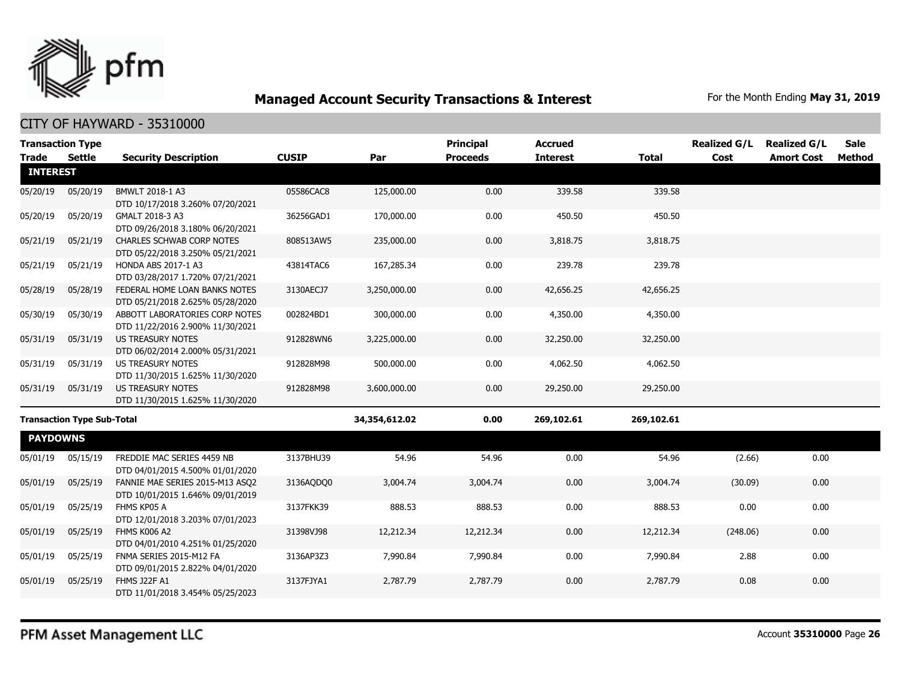

|                 | <b>Transaction Type</b>           |                                                                      |              |               | <b>Principal</b> | <b>Accrued</b>  |              | <b>Realized G/L</b> | <b>Realized G/L</b> | <b>Sale</b>   |
|-----------------|-----------------------------------|----------------------------------------------------------------------|--------------|---------------|------------------|-----------------|--------------|---------------------|---------------------|---------------|
| <b>Trade</b>    | Settle                            | <b>Security Description</b>                                          | <b>CUSIP</b> | Par           | <b>Proceeds</b>  | <b>Interest</b> | <b>Total</b> | Cost                | <b>Amort Cost</b>   | <b>Method</b> |
| <b>INTEREST</b> |                                   |                                                                      |              |               |                  |                 |              |                     |                     |               |
| 05/20/19        | 05/20/19                          | BMWLT 2018-1 A3<br>DTD 10/17/2018 3.260% 07/20/2021                  | 05586CAC8    | 125,000.00    | 0.00             | 339.58          | 339.58       |                     |                     |               |
| 05/20/19        | 05/20/19                          | GMALT 2018-3 A3<br>DTD 09/26/2018 3.180% 06/20/2021                  | 36256GAD1    | 170,000.00    | 0.00             | 450.50          | 450.50       |                     |                     |               |
| 05/21/19        | 05/21/19                          | <b>CHARLES SCHWAB CORP NOTES</b><br>DTD 05/22/2018 3.250% 05/21/2021 | 808513AW5    | 235,000.00    | 0.00             | 3,818.75        | 3,818.75     |                     |                     |               |
| 05/21/19        | 05/21/19                          | HONDA ABS 2017-1 A3<br>DTD 03/28/2017 1.720% 07/21/2021              | 43814TAC6    | 167,285.34    | 0.00             | 239.78          | 239.78       |                     |                     |               |
| 05/28/19        | 05/28/19                          | FEDERAL HOME LOAN BANKS NOTES<br>DTD 05/21/2018 2.625% 05/28/2020    | 3130AECJ7    | 3,250,000.00  | 0.00             | 42,656.25       | 42,656.25    |                     |                     |               |
| 05/30/19        | 05/30/19                          | ABBOTT LABORATORIES CORP NOTES<br>DTD 11/22/2016 2.900% 11/30/2021   | 002824BD1    | 300,000.00    | 0.00             | 4,350.00        | 4,350.00     |                     |                     |               |
| 05/31/19        | 05/31/19                          | US TREASURY NOTES<br>DTD 06/02/2014 2.000% 05/31/2021                | 912828WN6    | 3,225,000.00  | 0.00             | 32,250.00       | 32,250.00    |                     |                     |               |
| 05/31/19        | 05/31/19                          | <b>US TREASURY NOTES</b><br>DTD 11/30/2015 1.625% 11/30/2020         | 912828M98    | 500,000.00    | 0.00             | 4,062.50        | 4,062.50     |                     |                     |               |
| 05/31/19        | 05/31/19                          | <b>US TREASURY NOTES</b><br>DTD 11/30/2015 1.625% 11/30/2020         | 912828M98    | 3,600,000.00  | 0.00             | 29,250.00       | 29,250.00    |                     |                     |               |
|                 | <b>Transaction Type Sub-Total</b> |                                                                      |              | 34,354,612.02 | 0.00             | 269,102.61      | 269,102.61   |                     |                     |               |
| <b>PAYDOWNS</b> |                                   |                                                                      |              |               |                  |                 |              |                     |                     |               |
| 05/01/19        | 05/15/19                          | FREDDIE MAC SERIES 4459 NB<br>DTD 04/01/2015 4.500% 01/01/2020       | 3137BHU39    | 54.96         | 54.96            | 0.00            | 54.96        | (2.66)              | 0.00                |               |
| 05/01/19        | 05/25/19                          | FANNIE MAE SERIES 2015-M13 ASO2<br>DTD 10/01/2015 1.646% 09/01/2019  | 3136AQDQ0    | 3,004.74      | 3,004.74         | 0.00            | 3,004.74     | (30.09)             | 0.00                |               |
| 05/01/19        | 05/25/19                          | FHMS KP05 A<br>DTD 12/01/2018 3.203% 07/01/2023                      | 3137FKK39    | 888.53        | 888.53           | 0.00            | 888.53       | 0.00                | 0.00                |               |
| 05/01/19        | 05/25/19                          | FHMS K006 A2<br>DTD 04/01/2010 4.251% 01/25/2020                     | 31398VJ98    | 12,212.34     | 12,212.34        | 0.00            | 12,212.34    | (248.06)            | 0.00                |               |
| 05/01/19        | 05/25/19                          | FNMA SERIES 2015-M12 FA<br>DTD 09/01/2015 2.822% 04/01/2020          | 3136AP3Z3    | 7,990.84      | 7,990.84         | 0.00            | 7,990.84     | 2.88                | 0.00                |               |
| 05/01/19        | 05/25/19                          | FHMS J22F A1<br>DTD 11/01/2018 3.454% 05/25/2023                     | 3137FJYA1    | 2,787.79      | 2,787.79         | 0.00            | 2,787.79     | 0.08                | 0.00                |               |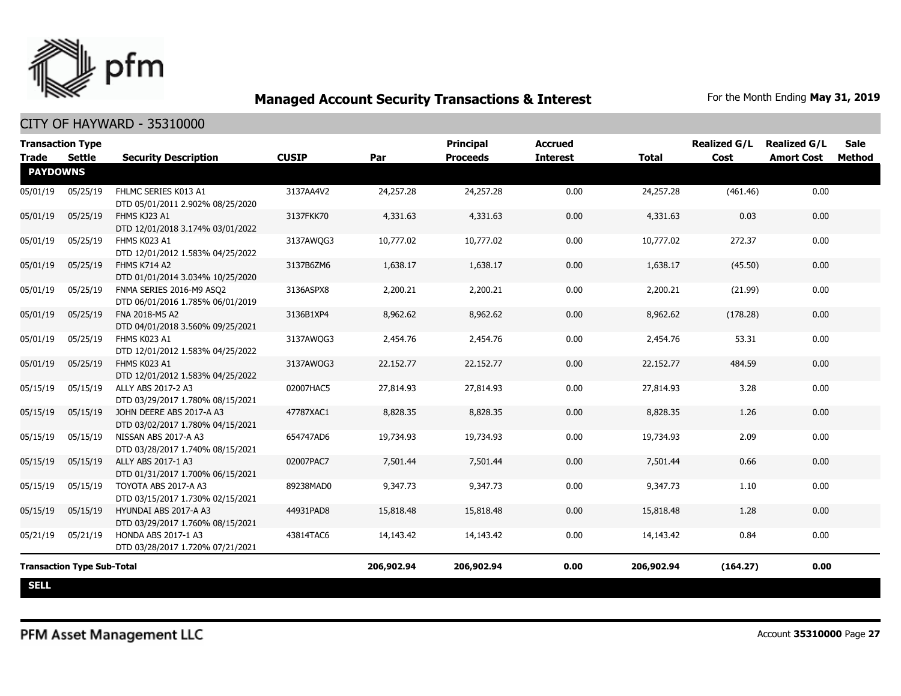

| <b>Transaction Type</b><br><b>Trade</b> | <b>Settle</b>                     | <b>Security Description</b>                                  | <b>CUSIP</b> | Par        | <b>Principal</b><br><b>Proceeds</b> | <b>Accrued</b><br><b>Interest</b> | <b>Total</b> | <b>Realized G/L</b><br>Cost | <b>Realized G/L</b><br><b>Amort Cost</b> | <b>Sale</b><br>Method |
|-----------------------------------------|-----------------------------------|--------------------------------------------------------------|--------------|------------|-------------------------------------|-----------------------------------|--------------|-----------------------------|------------------------------------------|-----------------------|
| <b>PAYDOWNS</b>                         |                                   |                                                              |              |            |                                     |                                   |              |                             |                                          |                       |
| 05/01/19                                | 05/25/19                          | FHLMC SERIES K013 A1<br>DTD 05/01/2011 2.902% 08/25/2020     | 3137AA4V2    | 24,257.28  | 24,257.28                           | 0.00                              | 24,257.28    | (461.46)                    | 0.00                                     |                       |
| 05/01/19                                | 05/25/19                          | FHMS KJ23 A1<br>DTD 12/01/2018 3.174% 03/01/2022             | 3137FKK70    | 4,331.63   | 4,331.63                            | 0.00                              | 4,331.63     | 0.03                        | 0.00                                     |                       |
| 05/01/19                                | 05/25/19                          | FHMS K023 A1<br>DTD 12/01/2012 1.583% 04/25/2022             | 3137AWQG3    | 10,777.02  | 10,777.02                           | 0.00                              | 10,777.02    | 272.37                      | 0.00                                     |                       |
| 05/01/19                                | 05/25/19                          | <b>FHMS K714 A2</b><br>DTD 01/01/2014 3.034% 10/25/2020      | 3137B6ZM6    | 1,638.17   | 1,638.17                            | 0.00                              | 1,638.17     | (45.50)                     | 0.00                                     |                       |
| 05/01/19                                | 05/25/19                          | FNMA SERIES 2016-M9 ASQ2<br>DTD 06/01/2016 1.785% 06/01/2019 | 3136ASPX8    | 2,200.21   | 2,200.21                            | 0.00                              | 2,200.21     | (21.99)                     | 0.00                                     |                       |
| 05/01/19                                | 05/25/19                          | FNA 2018-M5 A2<br>DTD 04/01/2018 3.560% 09/25/2021           | 3136B1XP4    | 8,962.62   | 8,962.62                            | 0.00                              | 8,962.62     | (178.28)                    | 0.00                                     |                       |
| 05/01/19                                | 05/25/19                          | FHMS K023 A1<br>DTD 12/01/2012 1.583% 04/25/2022             | 3137AWQG3    | 2,454.76   | 2,454.76                            | 0.00                              | 2,454.76     | 53.31                       | 0.00                                     |                       |
| 05/01/19                                | 05/25/19                          | FHMS K023 A1<br>DTD 12/01/2012 1.583% 04/25/2022             | 3137AWQG3    | 22,152.77  | 22,152.77                           | 0.00                              | 22,152.77    | 484.59                      | 0.00                                     |                       |
| 05/15/19                                | 05/15/19                          | ALLY ABS 2017-2 A3<br>DTD 03/29/2017 1.780% 08/15/2021       | 02007HAC5    | 27,814.93  | 27,814.93                           | 0.00                              | 27,814.93    | 3.28                        | 0.00                                     |                       |
| 05/15/19                                | 05/15/19                          | JOHN DEERE ABS 2017-A A3<br>DTD 03/02/2017 1.780% 04/15/2021 | 47787XAC1    | 8,828.35   | 8,828.35                            | 0.00                              | 8,828.35     | 1.26                        | 0.00                                     |                       |
| 05/15/19                                | 05/15/19                          | NISSAN ABS 2017-A A3<br>DTD 03/28/2017 1.740% 08/15/2021     | 654747AD6    | 19,734.93  | 19,734.93                           | 0.00                              | 19,734.93    | 2.09                        | 0.00                                     |                       |
| 05/15/19                                | 05/15/19                          | ALLY ABS 2017-1 A3<br>DTD 01/31/2017 1.700% 06/15/2021       | 02007PAC7    | 7,501.44   | 7,501.44                            | 0.00                              | 7,501.44     | 0.66                        | 0.00                                     |                       |
| 05/15/19                                | 05/15/19                          | TOYOTA ABS 2017-A A3<br>DTD 03/15/2017 1.730% 02/15/2021     | 89238MAD0    | 9,347,73   | 9,347,73                            | 0.00                              | 9,347,73     | 1.10                        | 0.00                                     |                       |
| 05/15/19                                | 05/15/19                          | HYUNDAI ABS 2017-A A3<br>DTD 03/29/2017 1.760% 08/15/2021    | 44931PAD8    | 15,818.48  | 15,818.48                           | 0.00                              | 15,818.48    | 1.28                        | 0.00                                     |                       |
| 05/21/19                                | 05/21/19                          | HONDA ABS 2017-1 A3<br>DTD 03/28/2017 1.720% 07/21/2021      | 43814TAC6    | 14,143.42  | 14,143.42                           | 0.00                              | 14,143.42    | 0.84                        | 0.00                                     |                       |
|                                         | <b>Transaction Type Sub-Total</b> |                                                              |              | 206,902.94 | 206,902.94                          | 0.00                              | 206,902.94   | (164.27)                    | 0.00                                     |                       |
| <b>SELL</b>                             |                                   |                                                              |              |            |                                     |                                   |              |                             |                                          |                       |